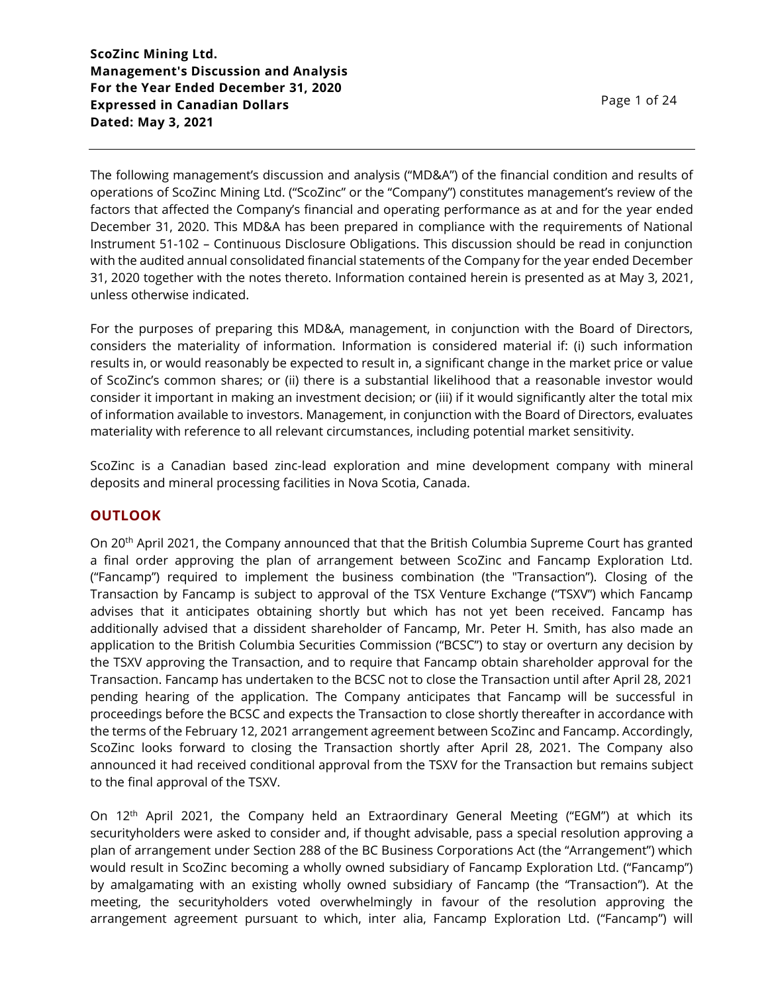The following management's discussion and analysis ("MD&A") of the financial condition and results of operations of ScoZinc Mining Ltd. ("ScoZinc" or the "Company") constitutes management's review of the factors that affected the Company's financial and operating performance as at and for the year ended December 31, 2020. This MD&A has been prepared in compliance with the requirements of National Instrument 51-102 – Continuous Disclosure Obligations. This discussion should be read in conjunction with the audited annual consolidated financial statements of the Company for the year ended December 31, 2020 together with the notes thereto. Information contained herein is presented as at May 3, 2021, unless otherwise indicated.

For the purposes of preparing this MD&A, management, in conjunction with the Board of Directors, considers the materiality of information. Information is considered material if: (i) such information results in, or would reasonably be expected to result in, a significant change in the market price or value of ScoZinc's common shares; or (ii) there is a substantial likelihood that a reasonable investor would consider it important in making an investment decision; or (iii) if it would significantly alter the total mix of information available to investors. Management, in conjunction with the Board of Directors, evaluates materiality with reference to all relevant circumstances, including potential market sensitivity.

ScoZinc is a Canadian based zinc-lead exploration and mine development company with mineral deposits and mineral processing facilities in Nova Scotia, Canada.

### **OUTLOOK**

On 20<sup>th</sup> April 2021, the Company announced that that the British Columbia Supreme Court has granted a final order approving the plan of arrangement between ScoZinc and Fancamp Exploration Ltd. ("Fancamp") required to implement the business combination (the "Transaction"). Closing of the Transaction by Fancamp is subject to approval of the TSX Venture Exchange ("TSXV") which Fancamp advises that it anticipates obtaining shortly but which has not yet been received. Fancamp has additionally advised that a dissident shareholder of Fancamp, Mr. Peter H. Smith, has also made an application to the British Columbia Securities Commission ("BCSC") to stay or overturn any decision by the TSXV approving the Transaction, and to require that Fancamp obtain shareholder approval for the Transaction. Fancamp has undertaken to the BCSC not to close the Transaction until after April 28, 2021 pending hearing of the application. The Company anticipates that Fancamp will be successful in proceedings before the BCSC and expects the Transaction to close shortly thereafter in accordance with the terms of the February 12, 2021 arrangement agreement between ScoZinc and Fancamp. Accordingly, ScoZinc looks forward to closing the Transaction shortly after April 28, 2021. The Company also announced it had received conditional approval from the TSXV for the Transaction but remains subject to the final approval of the TSXV.

On 12th April 2021, the Company held an Extraordinary General Meeting ("EGM") at which its securityholders were asked to consider and, if thought advisable, pass a special resolution approving a plan of arrangement under Section 288 of the BC Business Corporations Act (the "Arrangement") which would result in ScoZinc becoming a wholly owned subsidiary of Fancamp Exploration Ltd. ("Fancamp") by amalgamating with an existing wholly owned subsidiary of Fancamp (the "Transaction"). At the meeting, the securityholders voted overwhelmingly in favour of the resolution approving the arrangement agreement pursuant to which, inter alia, Fancamp Exploration Ltd. ("Fancamp") will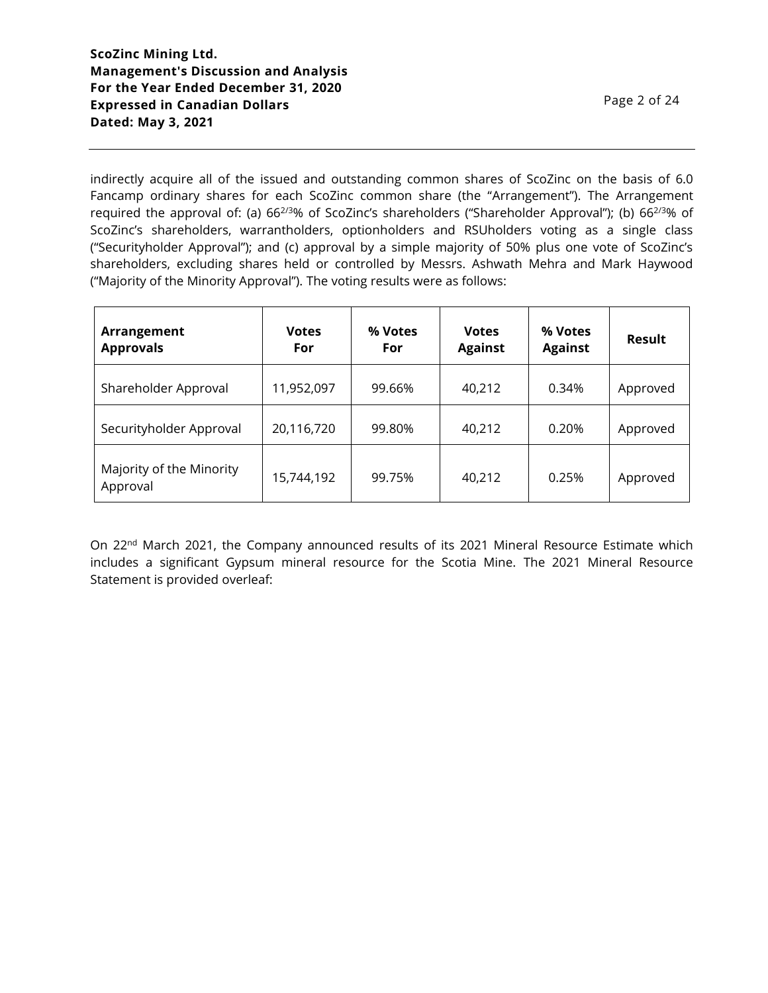indirectly acquire all of the issued and outstanding common shares of ScoZinc on the basis of 6.0 Fancamp ordinary shares for each ScoZinc common share (the "Arrangement"). The Arrangement required the approval of: (a)  $66^{2/3}\%$  of ScoZinc's shareholders ("Shareholder Approval"); (b)  $66^{2/3}\%$  of ScoZinc's shareholders, warrantholders, optionholders and RSUholders voting as a single class ("Securityholder Approval"); and (c) approval by a simple majority of 50% plus one vote of ScoZinc's shareholders, excluding shares held or controlled by Messrs. Ashwath Mehra and Mark Haywood ("Majority of the Minority Approval"). The voting results were as follows:

| Arrangement<br><b>Approvals</b>      | <b>Votes</b><br>For | % Votes<br>For | <b>Votes</b><br><b>Against</b> | % Votes<br><b>Against</b> | Result   |
|--------------------------------------|---------------------|----------------|--------------------------------|---------------------------|----------|
| Shareholder Approval                 | 11,952,097          | 99.66%         | 40,212                         | 0.34%                     | Approved |
| Securityholder Approval              | 20,116,720          | 99.80%         | 40,212                         | 0.20%                     | Approved |
| Majority of the Minority<br>Approval | 15,744,192          | 99.75%         | 40,212                         | 0.25%                     | Approved |

On 22<sup>nd</sup> March 2021, the Company announced results of its 2021 Mineral Resource Estimate which includes a significant Gypsum mineral resource for the Scotia Mine. The 2021 Mineral Resource Statement is provided overleaf: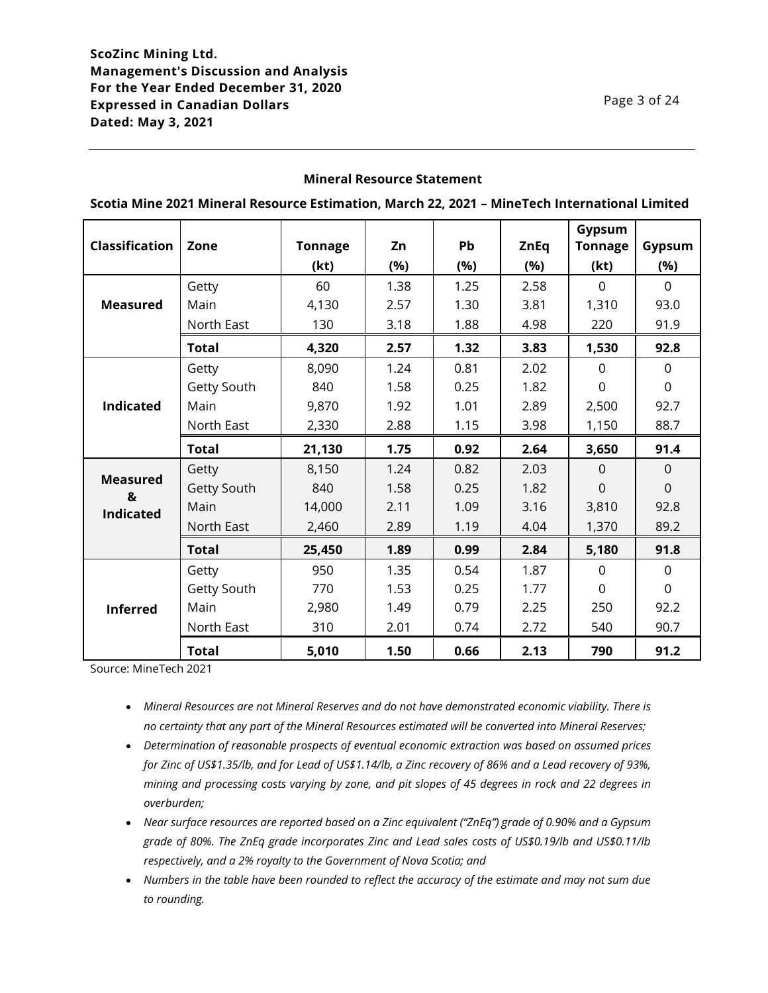### **Mineral Resource Statement**

|                       |              |                |      |           |             | Gypsum         |                |
|-----------------------|--------------|----------------|------|-----------|-------------|----------------|----------------|
| <b>Classification</b> | Zone         | <b>Tonnage</b> | Zn   | <b>Pb</b> | <b>ZnEq</b> | <b>Tonnage</b> | Gypsum         |
|                       |              | (kt)           | (%)  | (%)       | (%)         | (kt)           | (%)            |
|                       | Getty        | 60             | 1.38 | 1.25      | 2.58        | $\mathbf 0$    | $\mathbf 0$    |
| <b>Measured</b>       | Main         | 4,130          | 2.57 | 1.30      | 3.81        | 1,310          | 93.0           |
|                       | North East   | 130            | 3.18 | 1.88      | 4.98        | 220            | 91.9           |
|                       | <b>Total</b> | 4,320          | 2.57 | 1.32      | 3.83        | 1,530          | 92.8           |
|                       | Getty        | 8,090          | 1.24 | 0.81      | 2.02        | $\Omega$       | $\Omega$       |
|                       | Getty South  | 840            | 1.58 | 0.25      | 1.82        | $\overline{0}$ | $\overline{0}$ |
| <b>Indicated</b>      | Main         | 9,870          | 1.92 | 1.01      | 2.89        | 2,500          | 92.7           |
|                       | North East   | 2,330          | 2.88 | 1.15      | 3.98        | 1,150          | 88.7           |
|                       | <b>Total</b> | 21,130         | 1.75 | 0.92      | 2.64        | 3,650          | 91.4           |
|                       | Getty        | 8,150          | 1.24 | 0.82      | 2.03        | $\Omega$       | $\mathbf 0$    |
| <b>Measured</b><br>&  | Getty South  | 840            | 1.58 | 0.25      | 1.82        | $\mathbf 0$    | $\overline{0}$ |
| <b>Indicated</b>      | Main         | 14,000         | 2.11 | 1.09      | 3.16        | 3,810          | 92.8           |
|                       | North East   | 2,460          | 2.89 | 1.19      | 4.04        | 1,370          | 89.2           |
|                       | <b>Total</b> | 25,450         | 1.89 | 0.99      | 2.84        | 5,180          | 91.8           |
|                       | Getty        | 950            | 1.35 | 0.54      | 1.87        | $\Omega$       | $\mathbf{0}$   |
| <b>Inferred</b>       | Getty South  | 770            | 1.53 | 0.25      | 1.77        | $\Omega$       | $\mathbf 0$    |
|                       | Main         | 2,980          | 1.49 | 0.79      | 2.25        | 250            | 92.2           |
|                       | North East   | 310            | 2.01 | 0.74      | 2.72        | 540            | 90.7           |
|                       | <b>Total</b> | 5,010          | 1.50 | 0.66      | 2.13        | 790            | 91.2           |

**Scotia Mine 2021 Mineral Resource Estimation, March 22, 2021 – MineTech International Limited**

Source: MineTech 2021

- *Mineral Resources are not Mineral Reserves and do not have demonstrated economic viability. There is no certainty that any part of the Mineral Resources estimated will be converted into Mineral Reserves;*
- *Determination of reasonable prospects of eventual economic extraction was based on assumed prices for Zinc of US\$1.35/lb, and for Lead of US\$1.14/lb, a Zinc recovery of 86% and a Lead recovery of 93%, mining and processing costs varying by zone, and pit slopes of 45 degrees in rock and 22 degrees in overburden;*
- *Near surface resources are reported based on a Zinc equivalent ("ZnEq") grade of 0.90% and a Gypsum grade of 80%. The ZnEq grade incorporates Zinc and Lead sales costs of US\$0.19/lb and US\$0.11/lb respectively, and a 2% royalty to the Government of Nova Scotia; and*
- *Numbers in the table have been rounded to reflect the accuracy of the estimate and may not sum due to rounding.*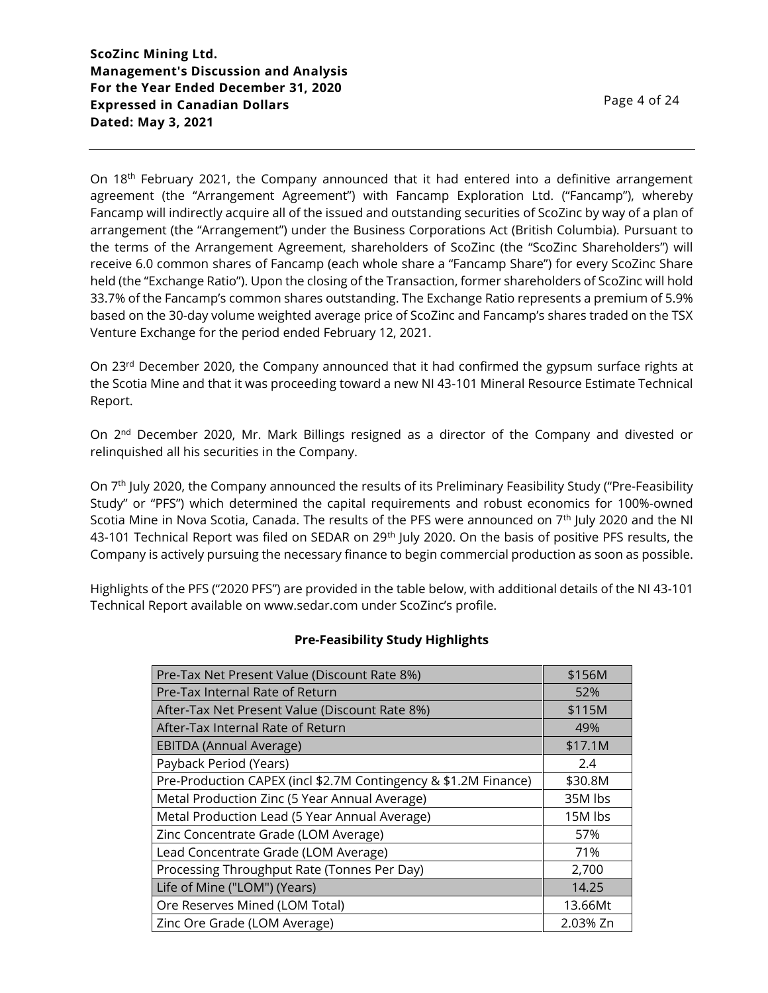On 18<sup>th</sup> February 2021, the Company announced that it had entered into a definitive arrangement agreement (the "Arrangement Agreement") with Fancamp Exploration Ltd. ("Fancamp"), whereby Fancamp will indirectly acquire all of the issued and outstanding securities of ScoZinc by way of a plan of arrangement (the "Arrangement") under the Business Corporations Act (British Columbia). Pursuant to the terms of the Arrangement Agreement, shareholders of ScoZinc (the "ScoZinc Shareholders") will receive 6.0 common shares of Fancamp (each whole share a "Fancamp Share") for every ScoZinc Share held (the "Exchange Ratio"). Upon the closing of the Transaction, former shareholders of ScoZinc will hold 33.7% of the Fancamp's common shares outstanding. The Exchange Ratio represents a premium of 5.9% based on the 30-day volume weighted average price of ScoZinc and Fancamp's shares traded on the TSX Venture Exchange for the period ended February 12, 2021.

On 23<sup>rd</sup> December 2020, the Company announced that it had confirmed the gypsum surface rights at the Scotia Mine and that it was proceeding toward a new NI 43-101 Mineral Resource Estimate Technical Report.

On 2<sup>nd</sup> December 2020, Mr. Mark Billings resigned as a director of the Company and divested or relinquished all his securities in the Company.

On 7<sup>th</sup> July 2020, the Company announced the results of its Preliminary Feasibility Study ("Pre-Feasibility Study" or "PFS") which determined the capital requirements and robust economics for 100%-owned Scotia Mine in Nova Scotia, Canada. The results of the PFS were announced on  $7<sup>th</sup>$  July 2020 and the NI 43-101 Technical Report was filed on SEDAR on 29<sup>th</sup> July 2020. On the basis of positive PFS results, the Company is actively pursuing the necessary finance to begin commercial production as soon as possible.

Highlights of the PFS ("2020 PFS") are provided in the table below, with additional details of the NI 43-101 Technical Report available on www.sedar.com under ScoZinc's profile.

# **Pre-Feasibility Study Highlights**

| Pre-Tax Net Present Value (Discount Rate 8%)                    | \$156M   |
|-----------------------------------------------------------------|----------|
| Pre-Tax Internal Rate of Return                                 | 52%      |
| After-Tax Net Present Value (Discount Rate 8%)                  | \$115M   |
| After-Tax Internal Rate of Return                               | 49%      |
| EBITDA (Annual Average)                                         | \$17.1M  |
| Payback Period (Years)                                          | 2.4      |
| Pre-Production CAPEX (incl \$2.7M Contingency & \$1.2M Finance) | \$30.8M  |
| Metal Production Zinc (5 Year Annual Average)                   | 35M lbs  |
| Metal Production Lead (5 Year Annual Average)                   | 15M lbs  |
| Zinc Concentrate Grade (LOM Average)                            | 57%      |
| Lead Concentrate Grade (LOM Average)                            | 71%      |
| Processing Throughput Rate (Tonnes Per Day)                     | 2,700    |
| Life of Mine ("LOM") (Years)                                    | 14.25    |
| Ore Reserves Mined (LOM Total)                                  | 13.66Mt  |
| Zinc Ore Grade (LOM Average)                                    | 2.03% Zn |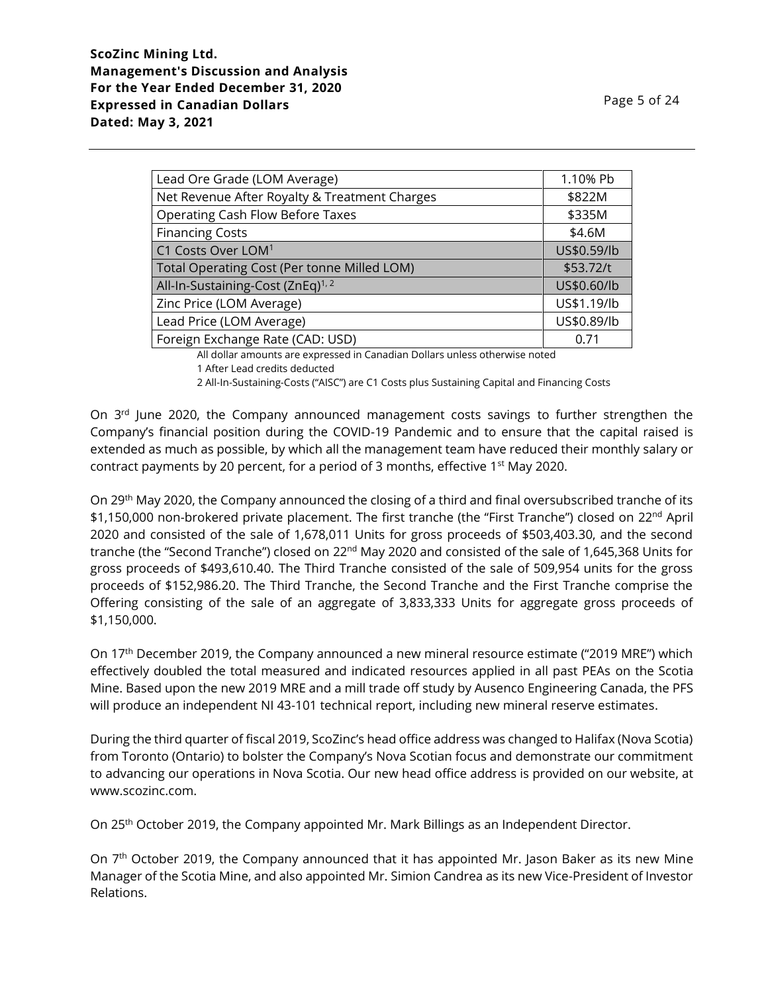| Lead Ore Grade (LOM Average)                       | 1.10% Pb    |
|----------------------------------------------------|-------------|
| Net Revenue After Royalty & Treatment Charges      | \$822M      |
| <b>Operating Cash Flow Before Taxes</b>            | \$335M      |
| <b>Financing Costs</b>                             | \$4.6M      |
| C1 Costs Over LOM <sup>1</sup>                     | US\$0.59/lb |
| <b>Total Operating Cost (Per tonne Milled LOM)</b> | \$53.72/t   |
| All-In-Sustaining-Cost (ZnEq) <sup>1,2</sup>       | US\$0.60/lb |
| Zinc Price (LOM Average)                           | US\$1.19/lb |
| Lead Price (LOM Average)                           | US\$0.89/lb |
| Foreign Exchange Rate (CAD: USD)                   | 0.71        |

All dollar amounts are expressed in Canadian Dollars unless otherwise noted 1 After Lead credits deducted

2 All-In-Sustaining-Costs ("AISC") are C1 Costs plus Sustaining Capital and Financing Costs

On  $3<sup>rd</sup>$  June 2020, the Company announced management costs savings to further strengthen the Company's financial position during the COVID-19 Pandemic and to ensure that the capital raised is extended as much as possible, by which all the management team have reduced their monthly salary or contract payments by 20 percent, for a period of 3 months, effective  $1<sup>st</sup>$  May 2020.

On 29th May 2020, the Company announced the closing of a third and final oversubscribed tranche of its \$1,150,000 non-brokered private placement. The first tranche (the "First Tranche") closed on 22<sup>nd</sup> April 2020 and consisted of the sale of 1,678,011 Units for gross proceeds of \$503,403.30, and the second tranche (the "Second Tranche") closed on 22<sup>nd</sup> May 2020 and consisted of the sale of 1,645,368 Units for gross proceeds of \$493,610.40. The Third Tranche consisted of the sale of 509,954 units for the gross proceeds of \$152,986.20. The Third Tranche, the Second Tranche and the First Tranche comprise the Offering consisting of the sale of an aggregate of 3,833,333 Units for aggregate gross proceeds of \$1,150,000.

On 17th December 2019, the Company announced a new mineral resource estimate ("2019 MRE") which effectively doubled the total measured and indicated resources applied in all past PEAs on the Scotia Mine. Based upon the new 2019 MRE and a mill trade off study by Ausenco Engineering Canada, the PFS will produce an independent NI 43-101 technical report, including new mineral reserve estimates.

During the third quarter of fiscal 2019, ScoZinc's head office address was changed to Halifax (Nova Scotia) from Toronto (Ontario) to bolster the Company's Nova Scotian focus and demonstrate our commitment to advancing our operations in Nova Scotia. Our new head office address is provided on our website, at www.scozinc.com.

On 25th October 2019, the Company appointed Mr. Mark Billings as an Independent Director.

On 7<sup>th</sup> October 2019, the Company announced that it has appointed Mr. Jason Baker as its new Mine Manager of the Scotia Mine, and also appointed Mr. Simion Candrea as its new Vice-President of Investor Relations.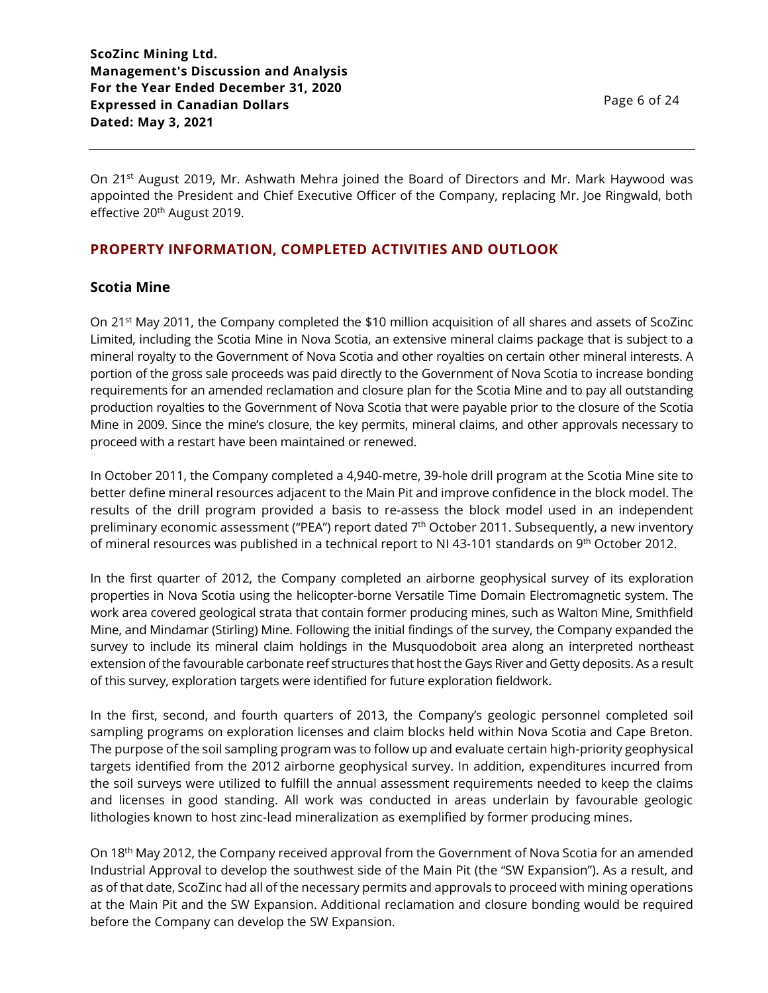Page 6 of 24

On 21<sup>st</sup> August 2019, Mr. Ashwath Mehra joined the Board of Directors and Mr. Mark Haywood was appointed the President and Chief Executive Officer of the Company, replacing Mr. Joe Ringwald, both effective 20<sup>th</sup> August 2019.

# **PROPERTY INFORMATION, COMPLETED ACTIVITIES AND OUTLOOK**

# **Scotia Mine**

On 21st May 2011, the Company completed the \$10 million acquisition of all shares and assets of ScoZinc Limited, including the Scotia Mine in Nova Scotia, an extensive mineral claims package that is subject to a mineral royalty to the Government of Nova Scotia and other royalties on certain other mineral interests. A portion of the gross sale proceeds was paid directly to the Government of Nova Scotia to increase bonding requirements for an amended reclamation and closure plan for the Scotia Mine and to pay all outstanding production royalties to the Government of Nova Scotia that were payable prior to the closure of the Scotia Mine in 2009. Since the mine's closure, the key permits, mineral claims, and other approvals necessary to proceed with a restart have been maintained or renewed.

In October 2011, the Company completed a 4,940-metre, 39-hole drill program at the Scotia Mine site to better define mineral resources adjacent to the Main Pit and improve confidence in the block model. The results of the drill program provided a basis to re-assess the block model used in an independent preliminary economic assessment ("PEA") report dated 7<sup>th</sup> October 2011. Subsequently, a new inventory of mineral resources was published in a technical report to NI 43-101 standards on 9<sup>th</sup> October 2012.

In the first quarter of 2012, the Company completed an airborne geophysical survey of its exploration properties in Nova Scotia using the helicopter-borne Versatile Time Domain Electromagnetic system. The work area covered geological strata that contain former producing mines, such as Walton Mine, Smithfield Mine, and Mindamar (Stirling) Mine. Following the initial findings of the survey, the Company expanded the survey to include its mineral claim holdings in the Musquodoboit area along an interpreted northeast extension of the favourable carbonate reef structures that host the Gays River and Getty deposits. As a result of this survey, exploration targets were identified for future exploration fieldwork.

In the first, second, and fourth quarters of 2013, the Company's geologic personnel completed soil sampling programs on exploration licenses and claim blocks held within Nova Scotia and Cape Breton. The purpose of the soil sampling program was to follow up and evaluate certain high-priority geophysical targets identified from the 2012 airborne geophysical survey. In addition, expenditures incurred from the soil surveys were utilized to fulfill the annual assessment requirements needed to keep the claims and licenses in good standing. All work was conducted in areas underlain by favourable geologic lithologies known to host zinc-lead mineralization as exemplified by former producing mines.

On 18th May 2012, the Company received approval from the Government of Nova Scotia for an amended Industrial Approval to develop the southwest side of the Main Pit (the "SW Expansion"). As a result, and as of that date, ScoZinc had all of the necessary permits and approvals to proceed with mining operations at the Main Pit and the SW Expansion. Additional reclamation and closure bonding would be required before the Company can develop the SW Expansion.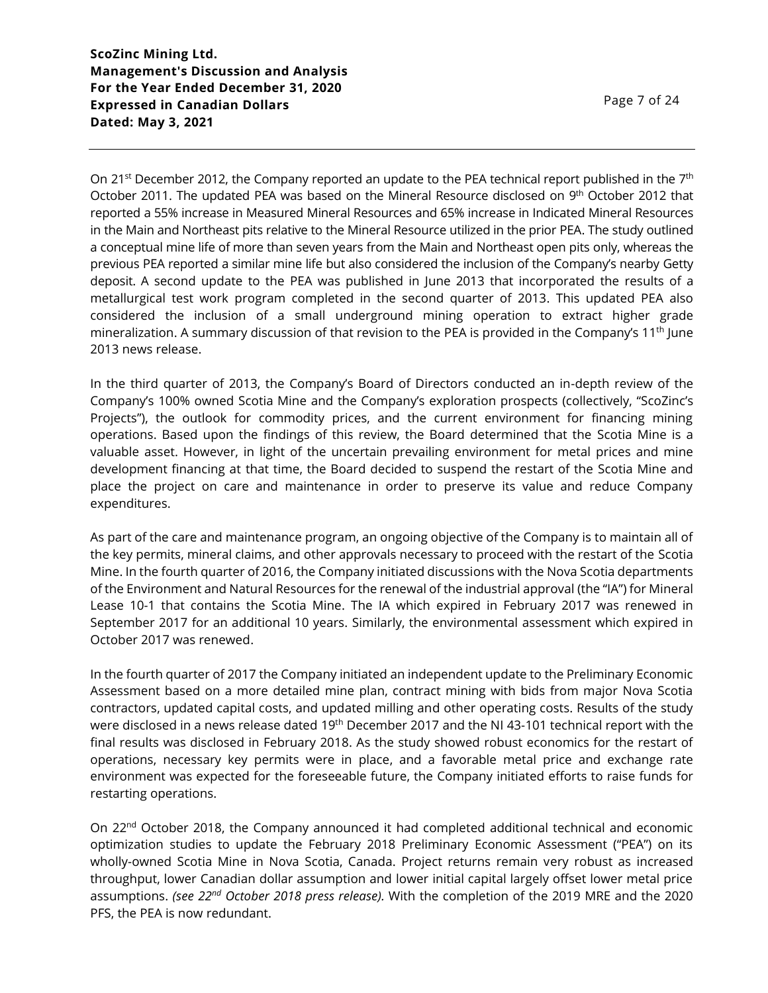On 21<sup>st</sup> December 2012, the Company reported an update to the PEA technical report published in the 7<sup>th</sup> October 2011. The updated PEA was based on the Mineral Resource disclosed on 9<sup>th</sup> October 2012 that reported a 55% increase in Measured Mineral Resources and 65% increase in Indicated Mineral Resources in the Main and Northeast pits relative to the Mineral Resource utilized in the prior PEA. The study outlined a conceptual mine life of more than seven years from the Main and Northeast open pits only, whereas the previous PEA reported a similar mine life but also considered the inclusion of the Company's nearby Getty deposit. A second update to the PEA was published in June 2013 that incorporated the results of a metallurgical test work program completed in the second quarter of 2013. This updated PEA also considered the inclusion of a small underground mining operation to extract higher grade mineralization. A summary discussion of that revision to the PEA is provided in the Company's 11<sup>th</sup> June 2013 news release.

In the third quarter of 2013, the Company's Board of Directors conducted an in-depth review of the Company's 100% owned Scotia Mine and the Company's exploration prospects (collectively, "ScoZinc's Projects"), the outlook for commodity prices, and the current environment for financing mining operations. Based upon the findings of this review, the Board determined that the Scotia Mine is a valuable asset. However, in light of the uncertain prevailing environment for metal prices and mine development financing at that time, the Board decided to suspend the restart of the Scotia Mine and place the project on care and maintenance in order to preserve its value and reduce Company expenditures.

As part of the care and maintenance program, an ongoing objective of the Company is to maintain all of the key permits, mineral claims, and other approvals necessary to proceed with the restart of the Scotia Mine. In the fourth quarter of 2016, the Company initiated discussions with the Nova Scotia departments of the Environment and Natural Resources for the renewal of the industrial approval (the "IA") for Mineral Lease 10-1 that contains the Scotia Mine. The IA which expired in February 2017 was renewed in September 2017 for an additional 10 years. Similarly, the environmental assessment which expired in October 2017 was renewed.

In the fourth quarter of 2017 the Company initiated an independent update to the Preliminary Economic Assessment based on a more detailed mine plan, contract mining with bids from major Nova Scotia contractors, updated capital costs, and updated milling and other operating costs. Results of the study were disclosed in a news release dated 19<sup>th</sup> December 2017 and the NI 43-101 technical report with the final results was disclosed in February 2018. As the study showed robust economics for the restart of operations, necessary key permits were in place, and a favorable metal price and exchange rate environment was expected for the foreseeable future, the Company initiated efforts to raise funds for restarting operations.

On 22nd October 2018, the Company announced it had completed additional technical and economic optimization studies to update the February 2018 Preliminary Economic Assessment ("PEA") on its wholly-owned Scotia Mine in Nova Scotia, Canada. Project returns remain very robust as increased throughput, lower Canadian dollar assumption and lower initial capital largely offset lower metal price assumptions. *(see 22nd October 2018 press release).* With the completion of the 2019 MRE and the 2020 PFS, the PEA is now redundant.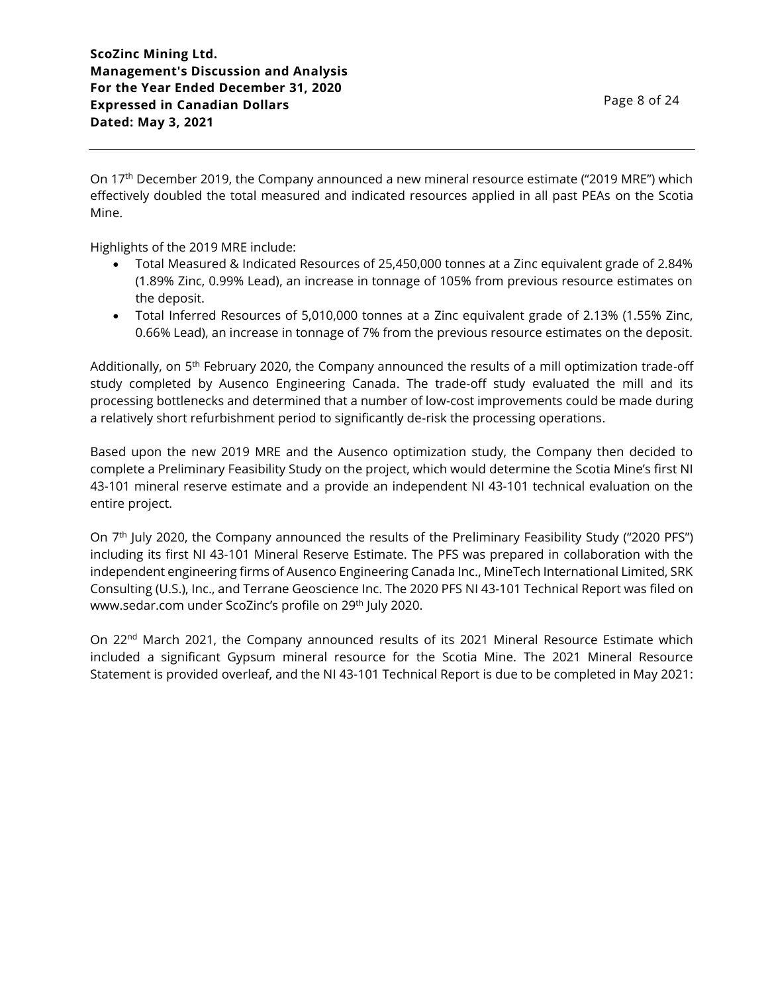On 17th December 2019, the Company announced a new mineral resource estimate ("2019 MRE") which effectively doubled the total measured and indicated resources applied in all past PEAs on the Scotia Mine.

Highlights of the 2019 MRE include:

- Total Measured & Indicated Resources of 25,450,000 tonnes at a Zinc equivalent grade of 2.84% (1.89% Zinc, 0.99% Lead), an increase in tonnage of 105% from previous resource estimates on the deposit.
- Total Inferred Resources of 5,010,000 tonnes at a Zinc equivalent grade of 2.13% (1.55% Zinc, 0.66% Lead), an increase in tonnage of 7% from the previous resource estimates on the deposit.

Additionally, on 5<sup>th</sup> February 2020, the Company announced the results of a mill optimization trade-off study completed by Ausenco Engineering Canada. The trade-off study evaluated the mill and its processing bottlenecks and determined that a number of low-cost improvements could be made during a relatively short refurbishment period to significantly de-risk the processing operations.

Based upon the new 2019 MRE and the Ausenco optimization study, the Company then decided to complete a Preliminary Feasibility Study on the project, which would determine the Scotia Mine's first NI 43-101 mineral reserve estimate and a provide an independent NI 43-101 technical evaluation on the entire project.

On 7<sup>th</sup> July 2020, the Company announced the results of the Preliminary Feasibility Study ("2020 PFS") including its first NI 43-101 Mineral Reserve Estimate. The PFS was prepared in collaboration with the independent engineering firms of Ausenco Engineering Canada Inc., MineTech International Limited, SRK Consulting (U.S.), Inc., and Terrane Geoscience Inc. The 2020 PFS NI 43-101 Technical Report was filed on www.sedar.com under ScoZinc's profile on 29<sup>th</sup> July 2020.

On 22<sup>nd</sup> March 2021, the Company announced results of its 2021 Mineral Resource Estimate which included a significant Gypsum mineral resource for the Scotia Mine. The 2021 Mineral Resource Statement is provided overleaf, and the NI 43-101 Technical Report is due to be completed in May 2021: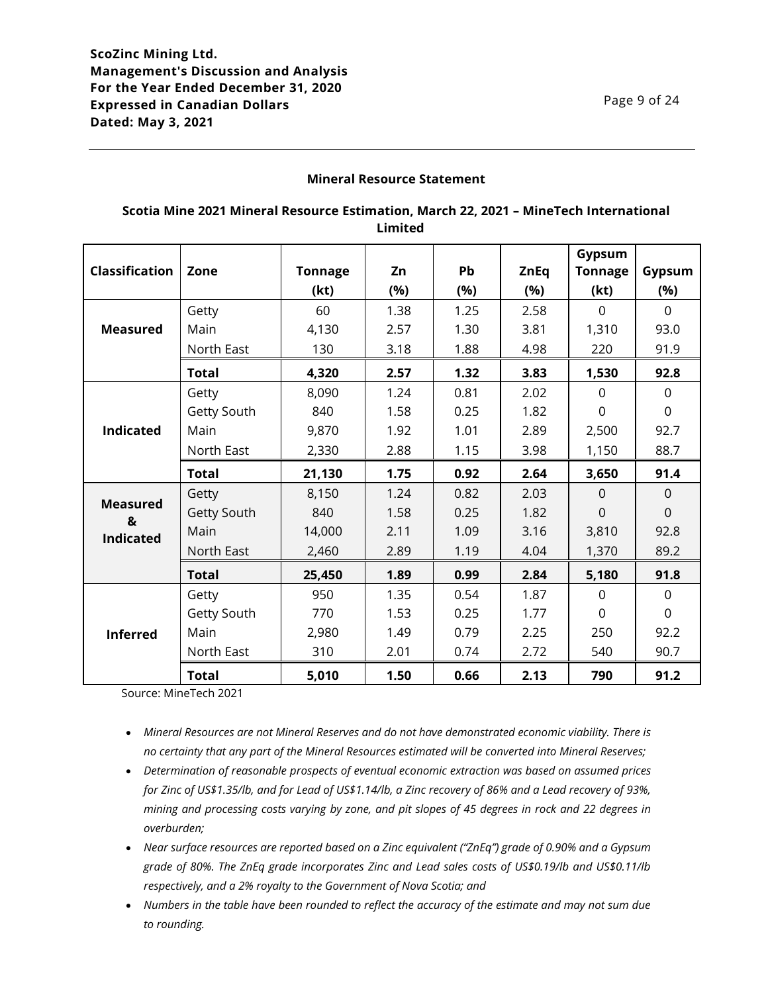## **Mineral Resource Statement**

## **Scotia Mine 2021 Mineral Resource Estimation, March 22, 2021 – MineTech International Limited**

|                       |              |                |      |      |             | Gypsum         |                |
|-----------------------|--------------|----------------|------|------|-------------|----------------|----------------|
| <b>Classification</b> | Zone         | <b>Tonnage</b> | Zn   | Pb   | <b>ZnEq</b> | <b>Tonnage</b> | Gypsum         |
|                       |              | (kt)           | (%)  | (%)  | (%)         | (kt)           | (%)            |
|                       | Getty        | 60             | 1.38 | 1.25 | 2.58        | $\Omega$       | $\Omega$       |
| <b>Measured</b>       | Main         | 4,130          | 2.57 | 1.30 | 3.81        | 1,310          | 93.0           |
|                       | North East   | 130            | 3.18 | 1.88 | 4.98        | 220            | 91.9           |
|                       | <b>Total</b> | 4,320          | 2.57 | 1.32 | 3.83        | 1,530          | 92.8           |
|                       | Getty        | 8,090          | 1.24 | 0.81 | 2.02        | $\mathbf 0$    | $\mathbf 0$    |
|                       | Getty South  | 840            | 1.58 | 0.25 | 1.82        | 0              | $\overline{0}$ |
| <b>Indicated</b>      | Main         | 9,870          | 1.92 | 1.01 | 2.89        | 2,500          | 92.7           |
|                       | North East   | 2,330          | 2.88 | 1.15 | 3.98        | 1,150          | 88.7           |
|                       | <b>Total</b> | 21,130         | 1.75 | 0.92 | 2.64        | 3,650          | 91.4           |
|                       | Getty        | 8,150          | 1.24 | 0.82 | 2.03        | $\overline{0}$ | $\mathbf 0$    |
| <b>Measured</b><br>&  | Getty South  | 840            | 1.58 | 0.25 | 1.82        | $\overline{0}$ | $\overline{0}$ |
| <b>Indicated</b>      | Main         | 14,000         | 2.11 | 1.09 | 3.16        | 3,810          | 92.8           |
|                       | North East   | 2,460          | 2.89 | 1.19 | 4.04        | 1,370          | 89.2           |
|                       | <b>Total</b> | 25,450         | 1.89 | 0.99 | 2.84        | 5,180          | 91.8           |
|                       | Getty        | 950            | 1.35 | 0.54 | 1.87        | $\mathbf 0$    | $\mathbf 0$    |
| <b>Inferred</b>       | Getty South  | 770            | 1.53 | 0.25 | 1.77        | $\Omega$       | $\overline{0}$ |
|                       | Main         | 2,980          | 1.49 | 0.79 | 2.25        | 250            | 92.2           |
|                       | North East   | 310            | 2.01 | 0.74 | 2.72        | 540            | 90.7           |
|                       | <b>Total</b> | 5,010          | 1.50 | 0.66 | 2.13        | 790            | 91.2           |

Source: MineTech 2021

- *Mineral Resources are not Mineral Reserves and do not have demonstrated economic viability. There is no certainty that any part of the Mineral Resources estimated will be converted into Mineral Reserves;*
- *Determination of reasonable prospects of eventual economic extraction was based on assumed prices for Zinc of US\$1.35/lb, and for Lead of US\$1.14/lb, a Zinc recovery of 86% and a Lead recovery of 93%, mining and processing costs varying by zone, and pit slopes of 45 degrees in rock and 22 degrees in overburden;*
- *Near surface resources are reported based on a Zinc equivalent ("ZnEq") grade of 0.90% and a Gypsum grade of 80%. The ZnEq grade incorporates Zinc and Lead sales costs of US\$0.19/lb and US\$0.11/lb respectively, and a 2% royalty to the Government of Nova Scotia; and*
- *Numbers in the table have been rounded to reflect the accuracy of the estimate and may not sum due to rounding.*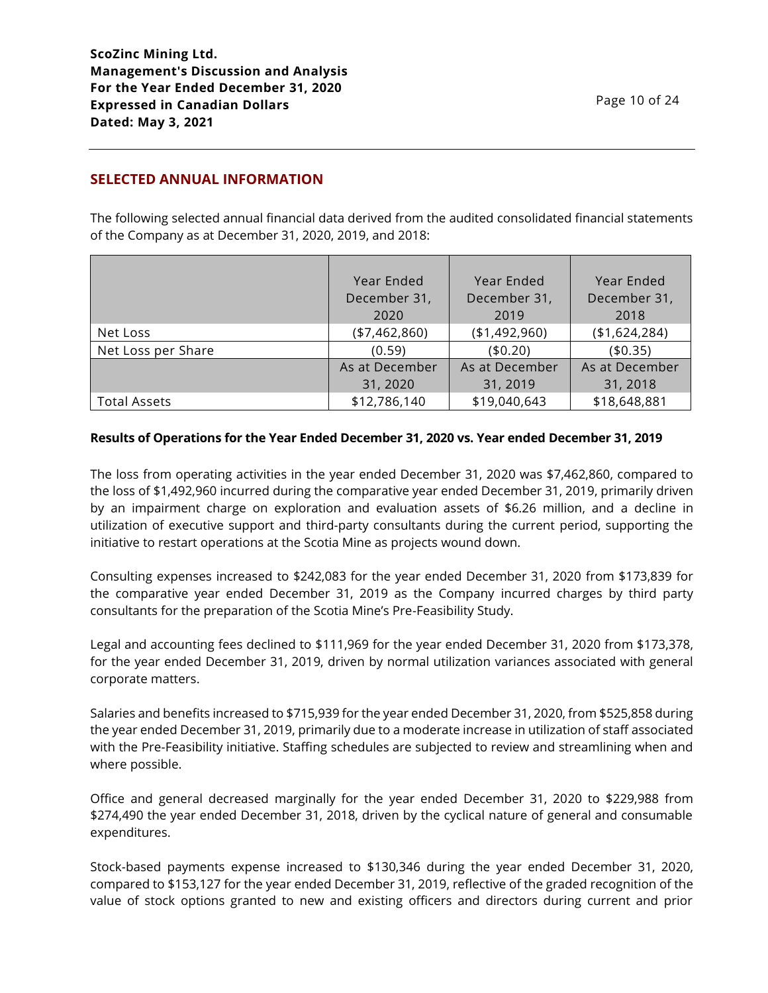# **SELECTED ANNUAL INFORMATION**

The following selected annual financial data derived from the audited consolidated financial statements of the Company as at December 31, 2020, 2019, and 2018:

|                     | Year Ended     | Year Ended     | Year Ended     |
|---------------------|----------------|----------------|----------------|
|                     | December 31,   | December 31,   | December 31,   |
|                     | 2020           | 2019           | 2018           |
| Net Loss            | (47, 462, 860) | (1,492,960)    | (\$1,624,284)  |
| Net Loss per Share  | (0.59)         | (40.20)        | (40.35)        |
|                     | As at December | As at December | As at December |
|                     | 31, 2020       | 31, 2019       | 31, 2018       |
| <b>Total Assets</b> | \$12,786,140   | \$19,040,643   | \$18,648,881   |

### **Results of Operations for the Year Ended December 31, 2020 vs. Year ended December 31, 2019**

The loss from operating activities in the year ended December 31, 2020 was \$7,462,860, compared to the loss of \$1,492,960 incurred during the comparative year ended December 31, 2019, primarily driven by an impairment charge on exploration and evaluation assets of \$6.26 million, and a decline in utilization of executive support and third-party consultants during the current period, supporting the initiative to restart operations at the Scotia Mine as projects wound down.

Consulting expenses increased to \$242,083 for the year ended December 31, 2020 from \$173,839 for the comparative year ended December 31, 2019 as the Company incurred charges by third party consultants for the preparation of the Scotia Mine's Pre-Feasibility Study.

Legal and accounting fees declined to \$111,969 for the year ended December 31, 2020 from \$173,378, for the year ended December 31, 2019, driven by normal utilization variances associated with general corporate matters.

Salaries and benefits increased to \$715,939 for the year ended December 31, 2020, from \$525,858 during the year ended December 31, 2019, primarily due to a moderate increase in utilization of staff associated with the Pre-Feasibility initiative. Staffing schedules are subjected to review and streamlining when and where possible.

Office and general decreased marginally for the year ended December 31, 2020 to \$229,988 from \$274,490 the year ended December 31, 2018, driven by the cyclical nature of general and consumable expenditures.

Stock-based payments expense increased to \$130,346 during the year ended December 31, 2020, compared to \$153,127 for the year ended December 31, 2019, reflective of the graded recognition of the value of stock options granted to new and existing officers and directors during current and prior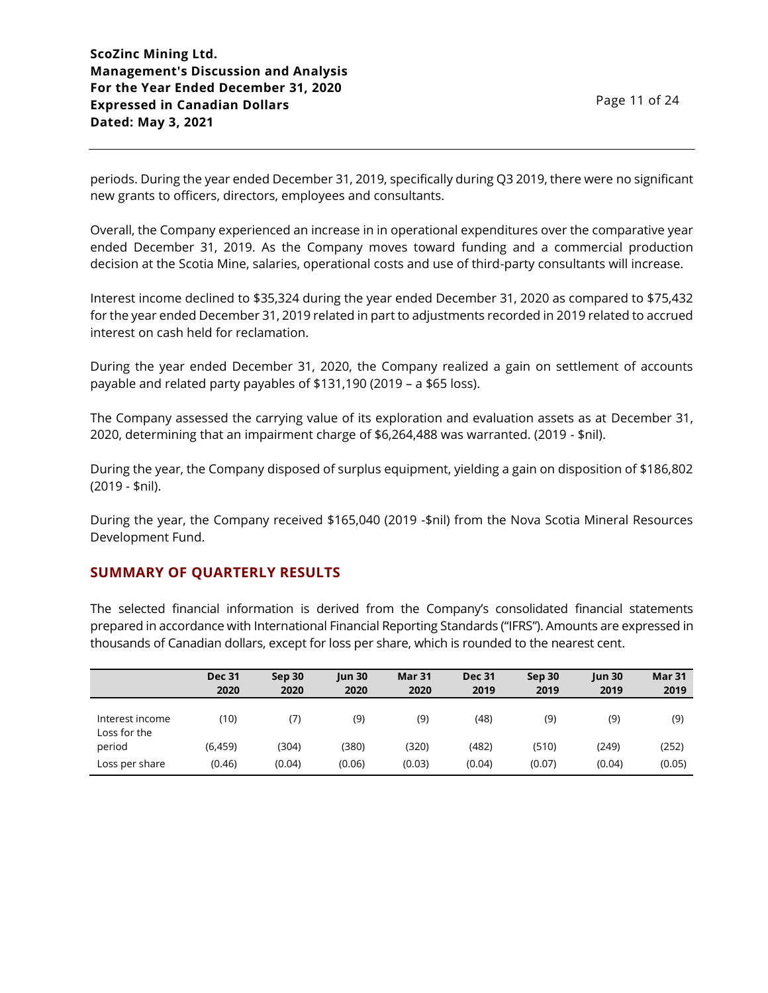periods. During the year ended December 31, 2019, specifically during Q3 2019, there were no significant new grants to officers, directors, employees and consultants.

Overall, the Company experienced an increase in in operational expenditures over the comparative year ended December 31, 2019. As the Company moves toward funding and a commercial production decision at the Scotia Mine, salaries, operational costs and use of third-party consultants will increase.

Interest income declined to \$35,324 during the year ended December 31, 2020 as compared to \$75,432 for the year ended December 31, 2019 related in part to adjustments recorded in 2019 related to accrued interest on cash held for reclamation.

During the year ended December 31, 2020, the Company realized a gain on settlement of accounts payable and related party payables of \$131,190 (2019 – a \$65 loss).

The Company assessed the carrying value of its exploration and evaluation assets as at December 31, 2020, determining that an impairment charge of \$6,264,488 was warranted. (2019 - \$nil).

During the year, the Company disposed of surplus equipment, yielding a gain on disposition of \$186,802 (2019 - \$nil).

During the year, the Company received \$165,040 (2019 -\$nil) from the Nova Scotia Mineral Resources Development Fund.

# **SUMMARY OF QUARTERLY RESULTS**

The selected financial information is derived from the Company's consolidated financial statements prepared in accordance with International Financial Reporting Standards ("IFRS"). Amounts are expressed in thousands of Canadian dollars, except for loss per share, which is rounded to the nearest cent.

|                                 | <b>Dec 31</b><br>2020 | Sep 30<br>2020 | $\mu$ n 30<br>2020 | <b>Mar 31</b><br>2020 | <b>Dec 31</b><br>2019 | Sep 30<br>2019 | $ $ un 30<br>2019 | <b>Mar 31</b><br>2019 |
|---------------------------------|-----------------------|----------------|--------------------|-----------------------|-----------------------|----------------|-------------------|-----------------------|
| Interest income<br>Loss for the | (10)                  | (7)            | (9)                | (9)                   | (48)                  | (9)            | (9)               | (9)                   |
| period                          | (6,459)               | (304)          | (380)              | (320)                 | (482)                 | (510)          | (249)             | (252)                 |
| Loss per share                  | (0.46)                | (0.04)         | (0.06)             | (0.03)                | (0.04)                | (0.07)         | (0.04)            | (0.05)                |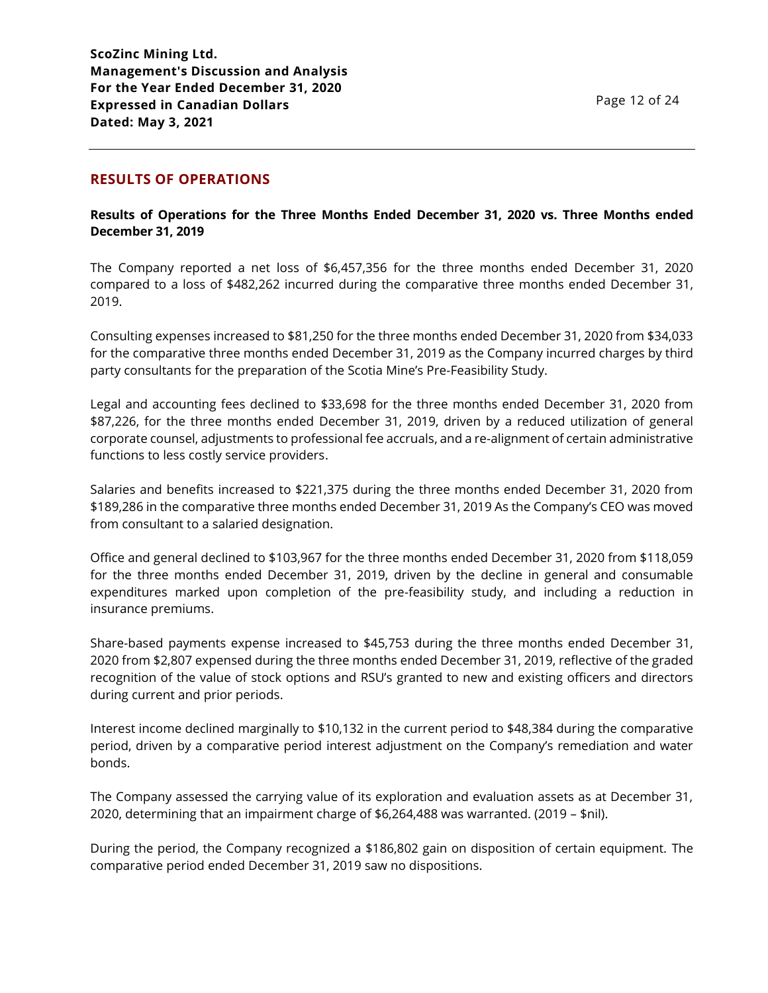## **RESULTS OF OPERATIONS**

### **Results of Operations for the Three Months Ended December 31, 2020 vs. Three Months ended December 31, 2019**

The Company reported a net loss of \$6,457,356 for the three months ended December 31, 2020 compared to a loss of \$482,262 incurred during the comparative three months ended December 31, 2019.

Consulting expenses increased to \$81,250 for the three months ended December 31, 2020 from \$34,033 for the comparative three months ended December 31, 2019 as the Company incurred charges by third party consultants for the preparation of the Scotia Mine's Pre-Feasibility Study.

Legal and accounting fees declined to \$33,698 for the three months ended December 31, 2020 from \$87,226, for the three months ended December 31, 2019, driven by a reduced utilization of general corporate counsel, adjustments to professional fee accruals, and a re-alignment of certain administrative functions to less costly service providers.

Salaries and benefits increased to \$221,375 during the three months ended December 31, 2020 from \$189,286 in the comparative three months ended December 31, 2019 As the Company's CEO was moved from consultant to a salaried designation.

Office and general declined to \$103,967 for the three months ended December 31, 2020 from \$118,059 for the three months ended December 31, 2019, driven by the decline in general and consumable expenditures marked upon completion of the pre-feasibility study, and including a reduction in insurance premiums.

Share-based payments expense increased to \$45,753 during the three months ended December 31, 2020 from \$2,807 expensed during the three months ended December 31, 2019, reflective of the graded recognition of the value of stock options and RSU's granted to new and existing officers and directors during current and prior periods.

Interest income declined marginally to \$10,132 in the current period to \$48,384 during the comparative period, driven by a comparative period interest adjustment on the Company's remediation and water bonds.

The Company assessed the carrying value of its exploration and evaluation assets as at December 31, 2020, determining that an impairment charge of \$6,264,488 was warranted. (2019 – \$nil).

During the period, the Company recognized a \$186,802 gain on disposition of certain equipment. The comparative period ended December 31, 2019 saw no dispositions.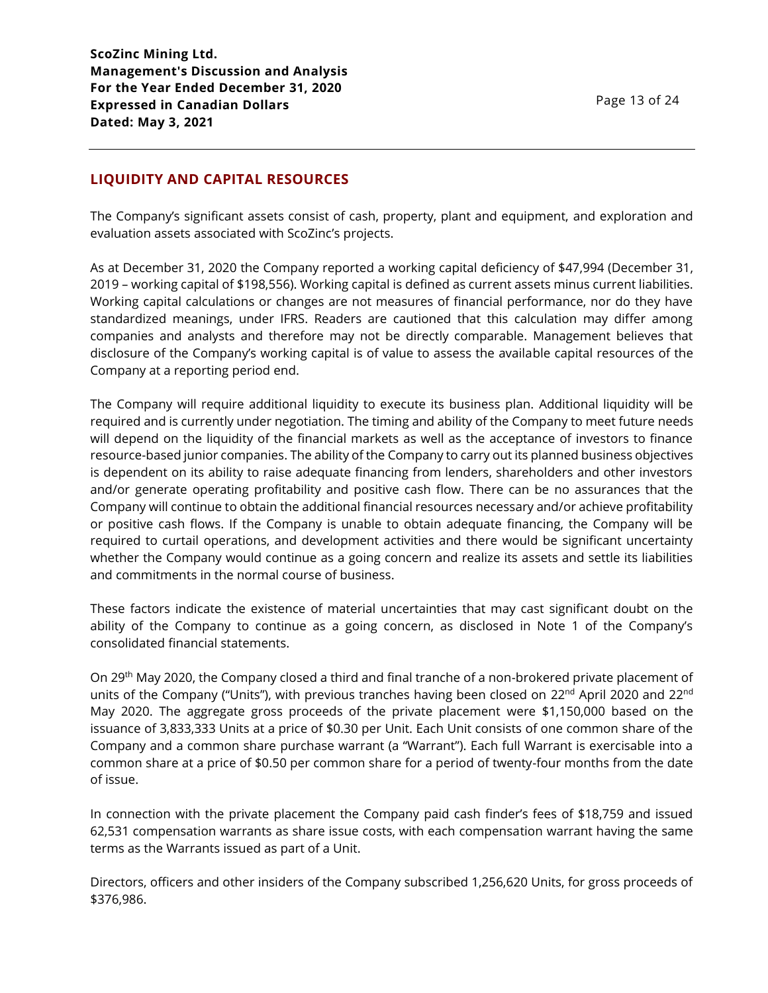# **LIQUIDITY AND CAPITAL RESOURCES**

The Company's significant assets consist of cash, property, plant and equipment, and exploration and evaluation assets associated with ScoZinc's projects.

As at December 31, 2020 the Company reported a working capital deficiency of \$47,994 (December 31, 2019 – working capital of \$198,556). Working capital is defined as current assets minus current liabilities. Working capital calculations or changes are not measures of financial performance, nor do they have standardized meanings, under IFRS. Readers are cautioned that this calculation may differ among companies and analysts and therefore may not be directly comparable. Management believes that disclosure of the Company's working capital is of value to assess the available capital resources of the Company at a reporting period end.

The Company will require additional liquidity to execute its business plan. Additional liquidity will be required and is currently under negotiation. The timing and ability of the Company to meet future needs will depend on the liquidity of the financial markets as well as the acceptance of investors to finance resource-based junior companies. The ability of the Company to carry out its planned business objectives is dependent on its ability to raise adequate financing from lenders, shareholders and other investors and/or generate operating profitability and positive cash flow. There can be no assurances that the Company will continue to obtain the additional financial resources necessary and/or achieve profitability or positive cash flows. If the Company is unable to obtain adequate financing, the Company will be required to curtail operations, and development activities and there would be significant uncertainty whether the Company would continue as a going concern and realize its assets and settle its liabilities and commitments in the normal course of business.

These factors indicate the existence of material uncertainties that may cast significant doubt on the ability of the Company to continue as a going concern, as disclosed in Note 1 of the Company's consolidated financial statements.

On 29th May 2020, the Company closed a third and final tranche of a non-brokered private placement of units of the Company ("Units"), with previous tranches having been closed on 22<sup>nd</sup> April 2020 and 22<sup>nd</sup> May 2020. The aggregate gross proceeds of the private placement were \$1,150,000 based on the issuance of 3,833,333 Units at a price of \$0.30 per Unit. Each Unit consists of one common share of the Company and a common share purchase warrant (a "Warrant"). Each full Warrant is exercisable into a common share at a price of \$0.50 per common share for a period of twenty-four months from the date of issue.

In connection with the private placement the Company paid cash finder's fees of \$18,759 and issued 62,531 compensation warrants as share issue costs, with each compensation warrant having the same terms as the Warrants issued as part of a Unit.

Directors, officers and other insiders of the Company subscribed 1,256,620 Units, for gross proceeds of \$376,986.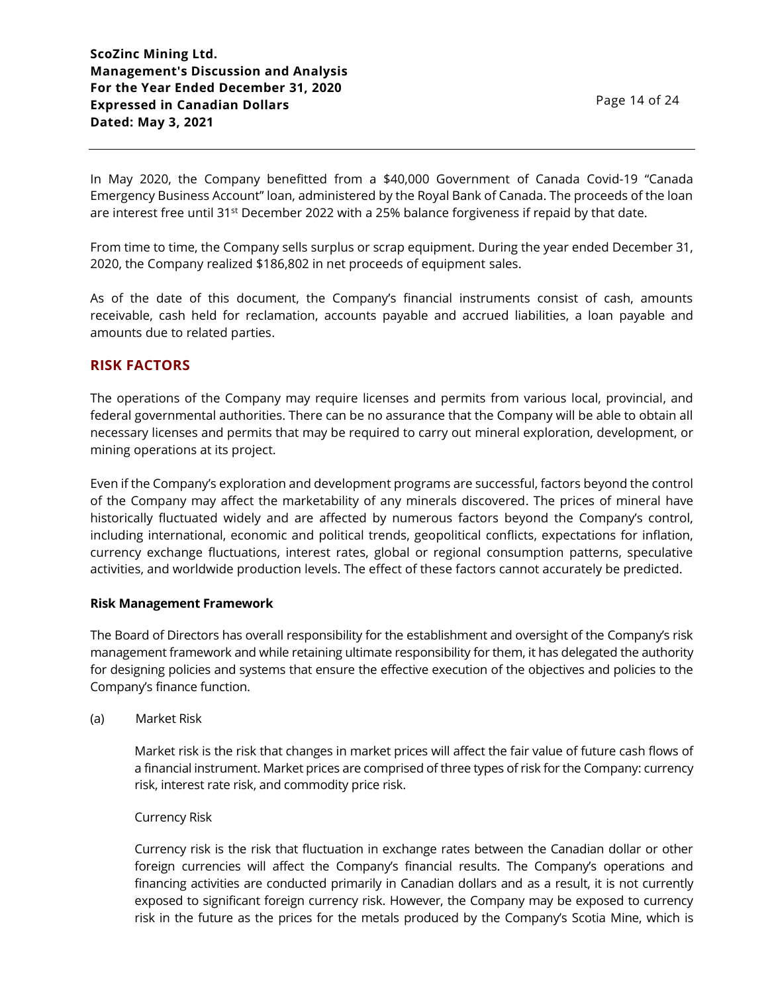In May 2020, the Company benefitted from a \$40,000 Government of Canada Covid-19 "Canada Emergency Business Account" loan, administered by the Royal Bank of Canada. The proceeds of the loan are interest free until 31<sup>st</sup> December 2022 with a 25% balance forgiveness if repaid by that date.

From time to time, the Company sells surplus or scrap equipment. During the year ended December 31, 2020, the Company realized \$186,802 in net proceeds of equipment sales.

As of the date of this document, the Company's financial instruments consist of cash, amounts receivable, cash held for reclamation, accounts payable and accrued liabilities, a loan payable and amounts due to related parties.

# **RISK FACTORS**

The operations of the Company may require licenses and permits from various local, provincial, and federal governmental authorities. There can be no assurance that the Company will be able to obtain all necessary licenses and permits that may be required to carry out mineral exploration, development, or mining operations at its project.

Even if the Company's exploration and development programs are successful, factors beyond the control of the Company may affect the marketability of any minerals discovered. The prices of mineral have historically fluctuated widely and are affected by numerous factors beyond the Company's control, including international, economic and political trends, geopolitical conflicts, expectations for inflation, currency exchange fluctuations, interest rates, global or regional consumption patterns, speculative activities, and worldwide production levels. The effect of these factors cannot accurately be predicted.

### **Risk Management Framework**

The Board of Directors has overall responsibility for the establishment and oversight of the Company's risk management framework and while retaining ultimate responsibility for them, it has delegated the authority for designing policies and systems that ensure the effective execution of the objectives and policies to the Company's finance function.

### (a) Market Risk

Market risk is the risk that changes in market prices will affect the fair value of future cash flows of a financial instrument. Market prices are comprised of three types of risk for the Company: currency risk, interest rate risk, and commodity price risk.

### Currency Risk

Currency risk is the risk that fluctuation in exchange rates between the Canadian dollar or other foreign currencies will affect the Company's financial results. The Company's operations and financing activities are conducted primarily in Canadian dollars and as a result, it is not currently exposed to significant foreign currency risk. However, the Company may be exposed to currency risk in the future as the prices for the metals produced by the Company's Scotia Mine, which is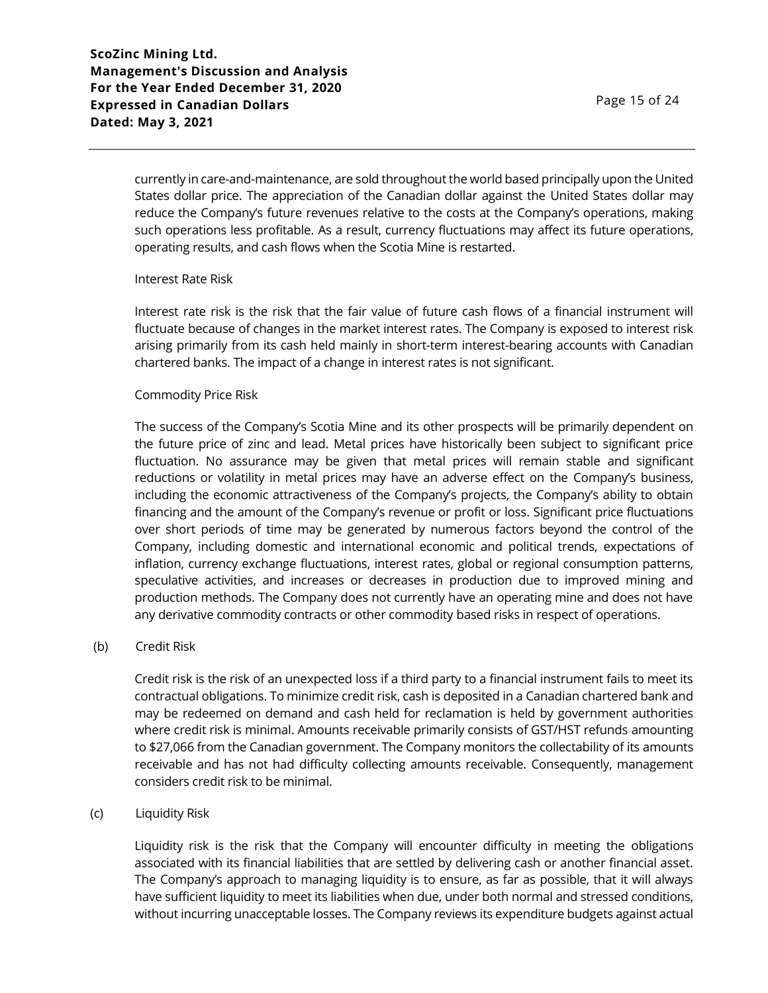currently in care-and-maintenance, are sold throughout the world based principally upon the United States dollar price. The appreciation of the Canadian dollar against the United States dollar may reduce the Company's future revenues relative to the costs at the Company's operations, making such operations less profitable. As a result, currency fluctuations may affect its future operations, operating results, and cash flows when the Scotia Mine is restarted.

#### Interest Rate Risk

Interest rate risk is the risk that the fair value of future cash flows of a financial instrument will fluctuate because of changes in the market interest rates. The Company is exposed to interest risk arising primarily from its cash held mainly in short-term interest-bearing accounts with Canadian chartered banks. The impact of a change in interest rates is not significant.

#### Commodity Price Risk

The success of the Company's Scotia Mine and its other prospects will be primarily dependent on the future price of zinc and lead. Metal prices have historically been subject to significant price fluctuation. No assurance may be given that metal prices will remain stable and significant reductions or volatility in metal prices may have an adverse effect on the Company's business, including the economic attractiveness of the Company's projects, the Company's ability to obtain financing and the amount of the Company's revenue or profit or loss. Significant price fluctuations over short periods of time may be generated by numerous factors beyond the control of the Company, including domestic and international economic and political trends, expectations of inflation, currency exchange fluctuations, interest rates, global or regional consumption patterns, speculative activities, and increases or decreases in production due to improved mining and production methods. The Company does not currently have an operating mine and does not have any derivative commodity contracts or other commodity based risks in respect of operations.

### (b) Credit Risk

Credit risk is the risk of an unexpected loss if a third party to a financial instrument fails to meet its contractual obligations. To minimize credit risk, cash is deposited in a Canadian chartered bank and may be redeemed on demand and cash held for reclamation is held by government authorities where credit risk is minimal. Amounts receivable primarily consists of GST/HST refunds amounting to \$27,066 from the Canadian government. The Company monitors the collectability of its amounts receivable and has not had difficulty collecting amounts receivable. Consequently, management considers credit risk to be minimal.

### (c) Liquidity Risk

Liquidity risk is the risk that the Company will encounter difficulty in meeting the obligations associated with its financial liabilities that are settled by delivering cash or another financial asset. The Company's approach to managing liquidity is to ensure, as far as possible, that it will always have sufficient liquidity to meet its liabilities when due, under both normal and stressed conditions, without incurring unacceptable losses. The Company reviews its expenditure budgets against actual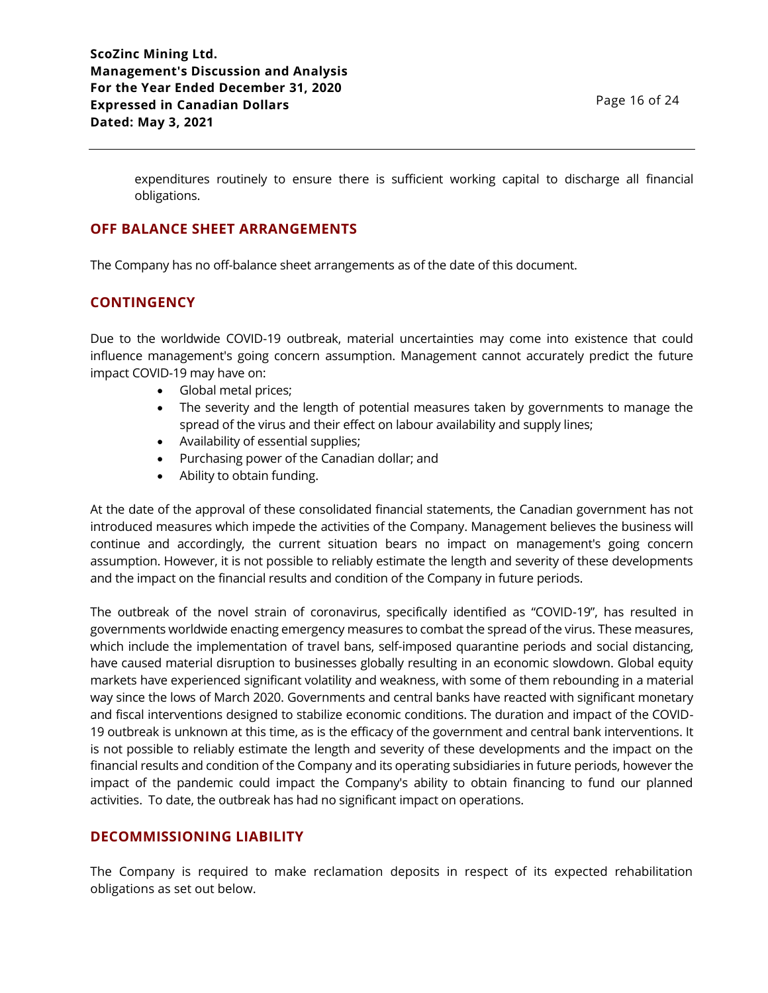expenditures routinely to ensure there is sufficient working capital to discharge all financial obligations.

## **OFF BALANCE SHEET ARRANGEMENTS**

The Company has no off-balance sheet arrangements as of the date of this document.

# **CONTINGENCY**

Due to the worldwide COVID-19 outbreak, material uncertainties may come into existence that could influence management's going concern assumption. Management cannot accurately predict the future impact COVID-19 may have on:

- Global metal prices;
- The severity and the length of potential measures taken by governments to manage the spread of the virus and their effect on labour availability and supply lines;
- Availability of essential supplies;
- Purchasing power of the Canadian dollar; and
- Ability to obtain funding.

At the date of the approval of these consolidated financial statements, the Canadian government has not introduced measures which impede the activities of the Company. Management believes the business will continue and accordingly, the current situation bears no impact on management's going concern assumption. However, it is not possible to reliably estimate the length and severity of these developments and the impact on the financial results and condition of the Company in future periods.

The outbreak of the novel strain of coronavirus, specifically identified as "COVID-19", has resulted in governments worldwide enacting emergency measures to combat the spread of the virus. These measures, which include the implementation of travel bans, self-imposed quarantine periods and social distancing, have caused material disruption to businesses globally resulting in an economic slowdown. Global equity markets have experienced significant volatility and weakness, with some of them rebounding in a material way since the lows of March 2020. Governments and central banks have reacted with significant monetary and fiscal interventions designed to stabilize economic conditions. The duration and impact of the COVID-19 outbreak is unknown at this time, as is the efficacy of the government and central bank interventions. It is not possible to reliably estimate the length and severity of these developments and the impact on the financial results and condition of the Company and its operating subsidiaries in future periods, however the impact of the pandemic could impact the Company's ability to obtain financing to fund our planned activities. To date, the outbreak has had no significant impact on operations.

# **DECOMMISSIONING LIABILITY**

The Company is required to make reclamation deposits in respect of its expected rehabilitation obligations as set out below.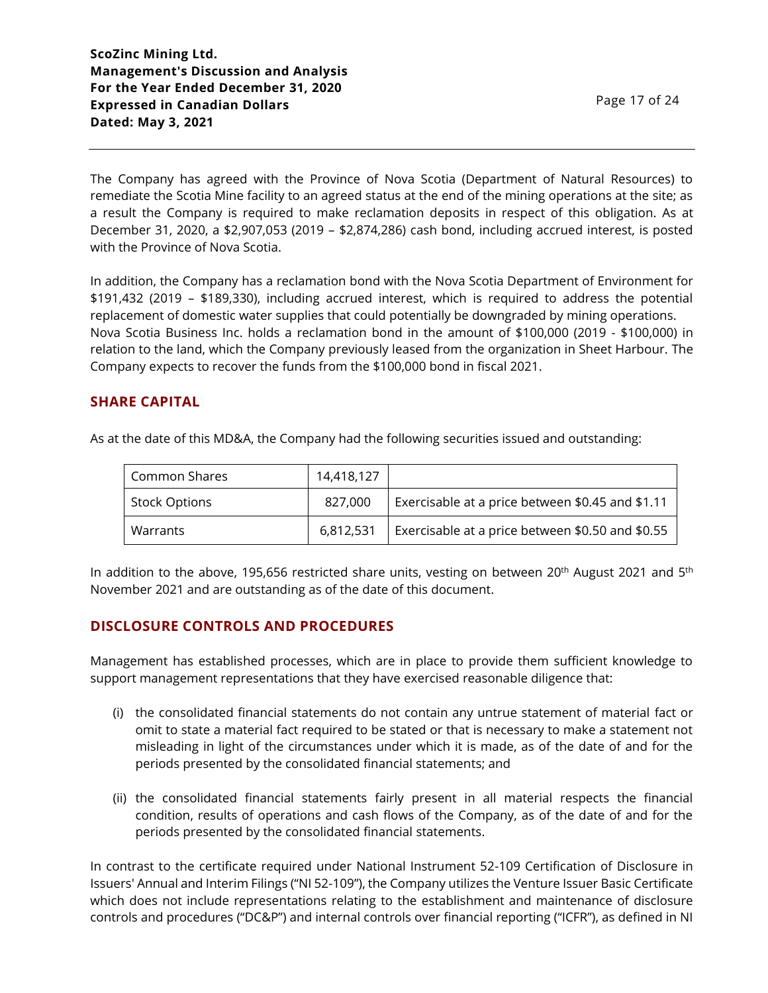The Company has agreed with the Province of Nova Scotia (Department of Natural Resources) to remediate the Scotia Mine facility to an agreed status at the end of the mining operations at the site; as a result the Company is required to make reclamation deposits in respect of this obligation. As at December 31, 2020, a \$2,907,053 (2019 – \$2,874,286) cash bond, including accrued interest, is posted with the Province of Nova Scotia.

In addition, the Company has a reclamation bond with the Nova Scotia Department of Environment for \$191,432 (2019 – \$189,330), including accrued interest, which is required to address the potential replacement of domestic water supplies that could potentially be downgraded by mining operations. Nova Scotia Business Inc. holds a reclamation bond in the amount of \$100,000 (2019 - \$100,000) in relation to the land, which the Company previously leased from the organization in Sheet Harbour. The Company expects to recover the funds from the \$100,000 bond in fiscal 2021.

# **SHARE CAPITAL**

As at the date of this MD&A, the Company had the following securities issued and outstanding:

| Common Shares        | 14,418,127 |                                                  |
|----------------------|------------|--------------------------------------------------|
| <b>Stock Options</b> | 827,000    | Exercisable at a price between \$0.45 and \$1.11 |
| Warrants             | 6.812.531  | Exercisable at a price between \$0.50 and \$0.55 |

In addition to the above, 195,656 restricted share units, vesting on between 20<sup>th</sup> August 2021 and 5<sup>th</sup> November 2021 and are outstanding as of the date of this document.

# **DISCLOSURE CONTROLS AND PROCEDURES**

Management has established processes, which are in place to provide them sufficient knowledge to support management representations that they have exercised reasonable diligence that:

- (i) the consolidated financial statements do not contain any untrue statement of material fact or omit to state a material fact required to be stated or that is necessary to make a statement not misleading in light of the circumstances under which it is made, as of the date of and for the periods presented by the consolidated financial statements; and
- (ii) the consolidated financial statements fairly present in all material respects the financial condition, results of operations and cash flows of the Company, as of the date of and for the periods presented by the consolidated financial statements.

In contrast to the certificate required under National Instrument 52-109 Certification of Disclosure in Issuers' Annual and Interim Filings ("NI 52-109"), the Company utilizes the Venture Issuer Basic Certificate which does not include representations relating to the establishment and maintenance of disclosure controls and procedures ("DC&P") and internal controls over financial reporting ("ICFR"), as defined in NI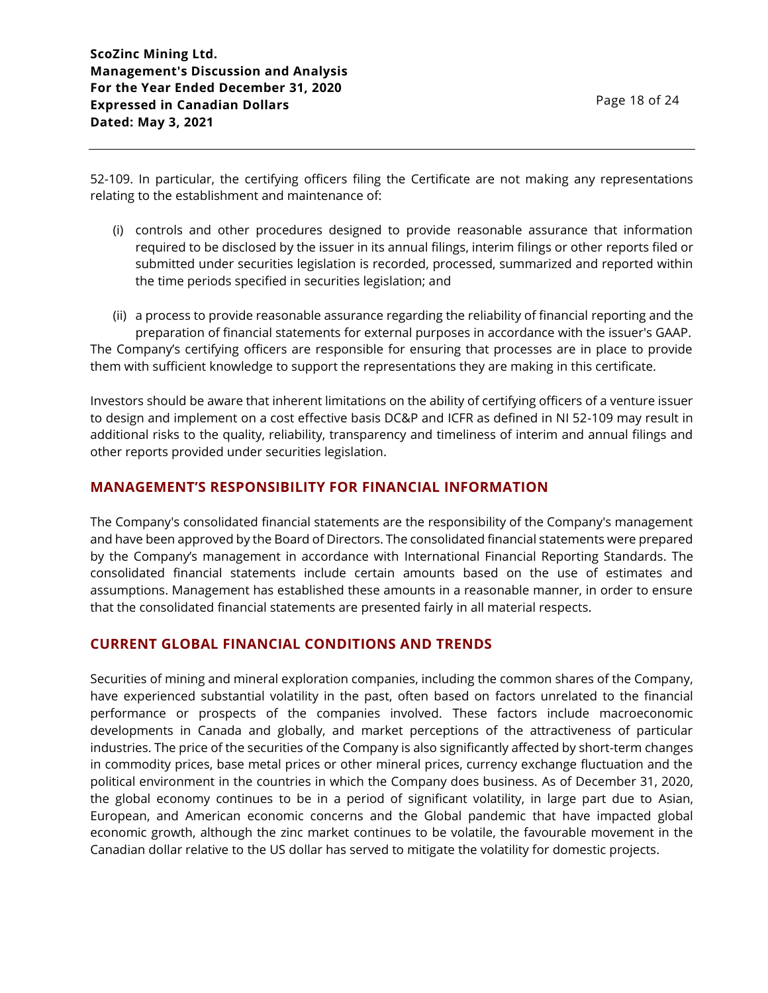52-109. In particular, the certifying officers filing the Certificate are not making any representations relating to the establishment and maintenance of:

- (i) controls and other procedures designed to provide reasonable assurance that information required to be disclosed by the issuer in its annual filings, interim filings or other reports filed or submitted under securities legislation is recorded, processed, summarized and reported within the time periods specified in securities legislation; and
- (ii) a process to provide reasonable assurance regarding the reliability of financial reporting and the preparation of financial statements for external purposes in accordance with the issuer's GAAP. The Company's certifying officers are responsible for ensuring that processes are in place to provide them with sufficient knowledge to support the representations they are making in this certificate.

Investors should be aware that inherent limitations on the ability of certifying officers of a venture issuer to design and implement on a cost effective basis DC&P and ICFR as defined in NI 52-109 may result in additional risks to the quality, reliability, transparency and timeliness of interim and annual filings and other reports provided under securities legislation.

# **MANAGEMENT'S RESPONSIBILITY FOR FINANCIAL INFORMATION**

The Company's consolidated financial statements are the responsibility of the Company's management and have been approved by the Board of Directors. The consolidated financial statements were prepared by the Company's management in accordance with International Financial Reporting Standards. The consolidated financial statements include certain amounts based on the use of estimates and assumptions. Management has established these amounts in a reasonable manner, in order to ensure that the consolidated financial statements are presented fairly in all material respects.

# **CURRENT GLOBAL FINANCIAL CONDITIONS AND TRENDS**

Securities of mining and mineral exploration companies, including the common shares of the Company, have experienced substantial volatility in the past, often based on factors unrelated to the financial performance or prospects of the companies involved. These factors include macroeconomic developments in Canada and globally, and market perceptions of the attractiveness of particular industries. The price of the securities of the Company is also significantly affected by short-term changes in commodity prices, base metal prices or other mineral prices, currency exchange fluctuation and the political environment in the countries in which the Company does business. As of December 31, 2020, the global economy continues to be in a period of significant volatility, in large part due to Asian, European, and American economic concerns and the Global pandemic that have impacted global economic growth, although the zinc market continues to be volatile, the favourable movement in the Canadian dollar relative to the US dollar has served to mitigate the volatility for domestic projects.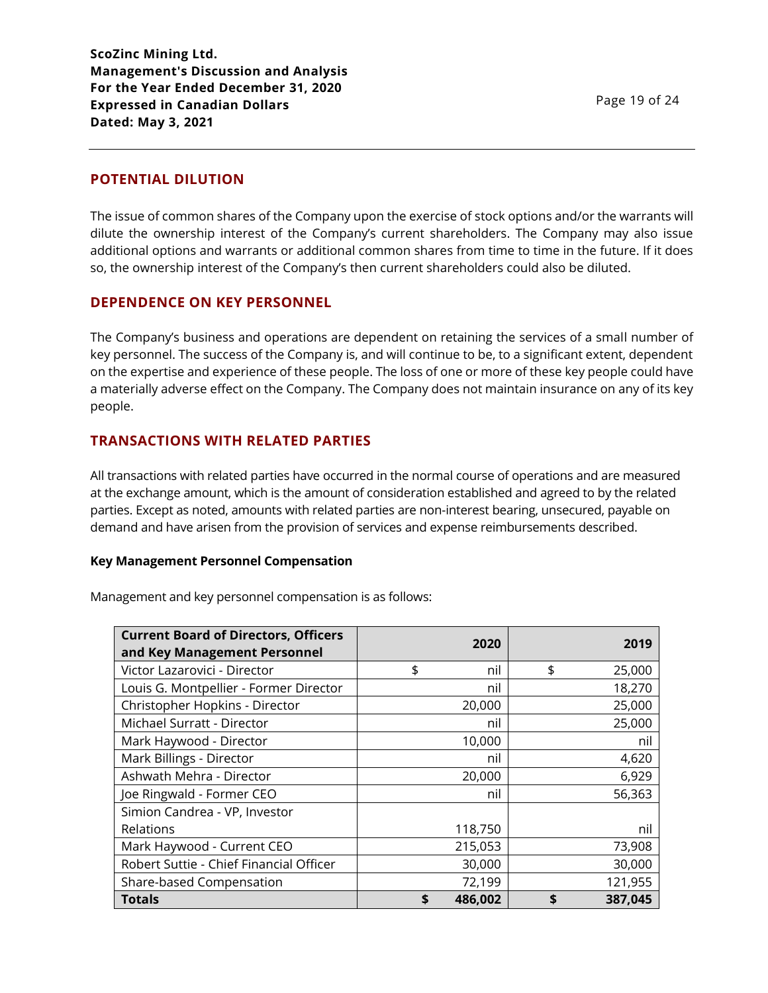### **POTENTIAL DILUTION**

The issue of common shares of the Company upon the exercise of stock options and/or the warrants will dilute the ownership interest of the Company's current shareholders. The Company may also issue additional options and warrants or additional common shares from time to time in the future. If it does so, the ownership interest of the Company's then current shareholders could also be diluted.

### **DEPENDENCE ON KEY PERSONNEL**

The Company's business and operations are dependent on retaining the services of a small number of key personnel. The success of the Company is, and will continue to be, to a significant extent, dependent on the expertise and experience of these people. The loss of one or more of these key people could have a materially adverse effect on the Company. The Company does not maintain insurance on any of its key people.

### **TRANSACTIONS WITH RELATED PARTIES**

All transactions with related parties have occurred in the normal course of operations and are measured at the exchange amount, which is the amount of consideration established and agreed to by the related parties. Except as noted, amounts with related parties are non-interest bearing, unsecured, payable on demand and have arisen from the provision of services and expense reimbursements described.

#### **Key Management Personnel Compensation**

Management and key personnel compensation is as follows:

| <b>Current Board of Directors, Officers</b> | 2020          | 2019          |
|---------------------------------------------|---------------|---------------|
| and Key Management Personnel                |               |               |
| Victor Lazarovici - Director                | \$<br>nil     | \$<br>25,000  |
| Louis G. Montpellier - Former Director      | nil           | 18,270        |
| Christopher Hopkins - Director              | 20,000        | 25,000        |
| Michael Surratt - Director                  | nil           | 25,000        |
| Mark Haywood - Director                     | 10,000        | nil           |
| Mark Billings - Director                    | nil           | 4,620         |
| Ashwath Mehra - Director                    | 20,000        | 6,929         |
| Joe Ringwald - Former CEO                   | nil           | 56,363        |
| Simion Candrea - VP, Investor               |               |               |
| Relations                                   | 118,750       | nil           |
| Mark Haywood - Current CEO                  | 215,053       | 73,908        |
| Robert Suttie - Chief Financial Officer     | 30,000        | 30,000        |
| Share-based Compensation                    | 72,199        | 121,955       |
| <b>Totals</b>                               | \$<br>486,002 | 387,045<br>\$ |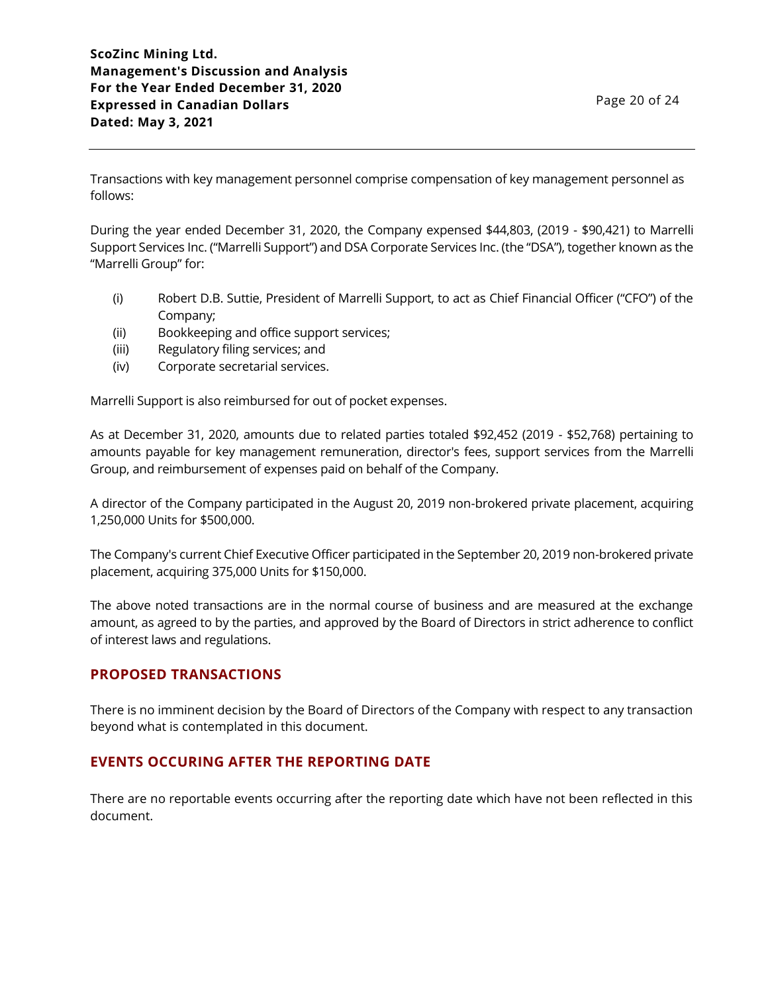Transactions with key management personnel comprise compensation of key management personnel as follows:

During the year ended December 31, 2020, the Company expensed \$44,803, (2019 - \$90,421) to Marrelli Support Services Inc. ("Marrelli Support") and DSA Corporate Services Inc. (the "DSA"), together known as the "Marrelli Group" for:

- (i) Robert D.B. Suttie, President of Marrelli Support, to act as Chief Financial Officer ("CFO") of the Company;
- (ii) Bookkeeping and office support services;
- (iii) Regulatory filing services; and
- (iv) Corporate secretarial services.

Marrelli Support is also reimbursed for out of pocket expenses.

As at December 31, 2020, amounts due to related parties totaled \$92,452 (2019 - \$52,768) pertaining to amounts payable for key management remuneration, director's fees, support services from the Marrelli Group, and reimbursement of expenses paid on behalf of the Company.

A director of the Company participated in the August 20, 2019 non-brokered private placement, acquiring 1,250,000 Units for \$500,000.

The Company's current Chief Executive Officer participated in the September 20, 2019 non-brokered private placement, acquiring 375,000 Units for \$150,000.

The above noted transactions are in the normal course of business and are measured at the exchange amount, as agreed to by the parties, and approved by the Board of Directors in strict adherence to conflict of interest laws and regulations.

# **PROPOSED TRANSACTIONS**

There is no imminent decision by the Board of Directors of the Company with respect to any transaction beyond what is contemplated in this document.

# **EVENTS OCCURING AFTER THE REPORTING DATE**

There are no reportable events occurring after the reporting date which have not been reflected in this document.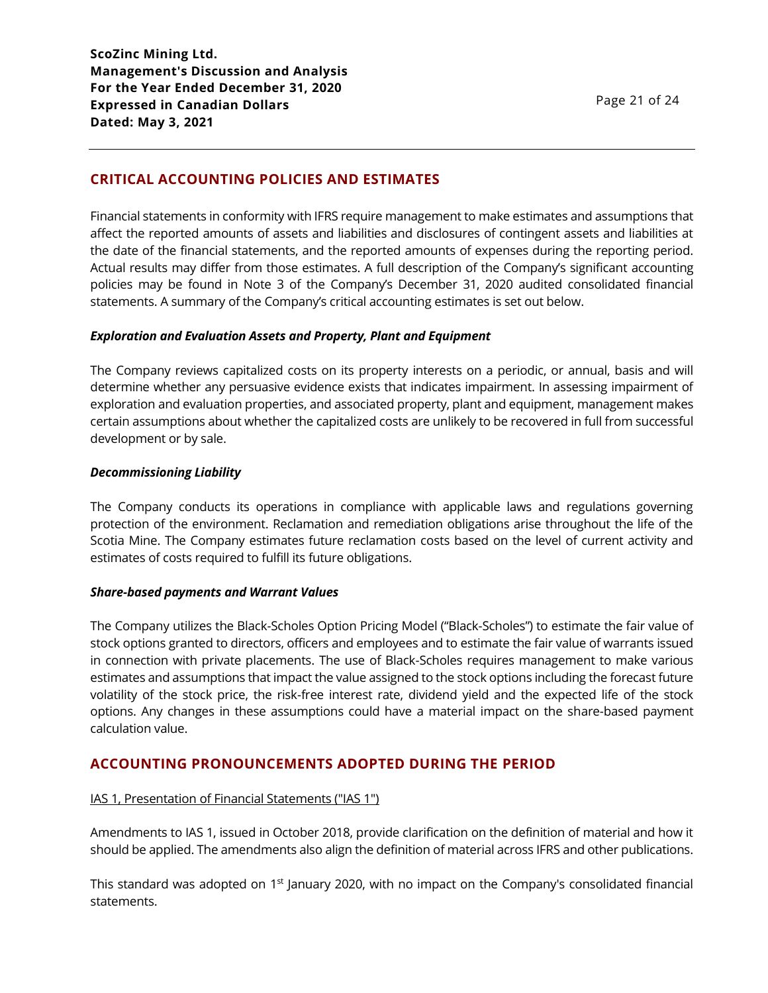# **CRITICAL ACCOUNTING POLICIES AND ESTIMATES**

Financial statements in conformity with IFRS require management to make estimates and assumptions that affect the reported amounts of assets and liabilities and disclosures of contingent assets and liabilities at the date of the financial statements, and the reported amounts of expenses during the reporting period. Actual results may differ from those estimates. A full description of the Company's significant accounting policies may be found in Note 3 of the Company's December 31, 2020 audited consolidated financial statements. A summary of the Company's critical accounting estimates is set out below.

### *Exploration and Evaluation Assets and Property, Plant and Equipment*

The Company reviews capitalized costs on its property interests on a periodic, or annual, basis and will determine whether any persuasive evidence exists that indicates impairment. In assessing impairment of exploration and evaluation properties, and associated property, plant and equipment, management makes certain assumptions about whether the capitalized costs are unlikely to be recovered in full from successful development or by sale.

#### *Decommissioning Liability*

The Company conducts its operations in compliance with applicable laws and regulations governing protection of the environment. Reclamation and remediation obligations arise throughout the life of the Scotia Mine. The Company estimates future reclamation costs based on the level of current activity and estimates of costs required to fulfill its future obligations.

#### *Share-based payments and Warrant Values*

The Company utilizes the Black-Scholes Option Pricing Model ("Black-Scholes") to estimate the fair value of stock options granted to directors, officers and employees and to estimate the fair value of warrants issued in connection with private placements. The use of Black-Scholes requires management to make various estimates and assumptions that impact the value assigned to the stock options including the forecast future volatility of the stock price, the risk-free interest rate, dividend yield and the expected life of the stock options. Any changes in these assumptions could have a material impact on the share-based payment calculation value.

# **ACCOUNTING PRONOUNCEMENTS ADOPTED DURING THE PERIOD**

### IAS 1, Presentation of Financial Statements ("IAS 1")

Amendments to IAS 1, issued in October 2018, provide clarification on the definition of material and how it should be applied. The amendments also align the definition of material across IFRS and other publications.

This standard was adopted on 1<sup>st</sup> January 2020, with no impact on the Company's consolidated financial statements.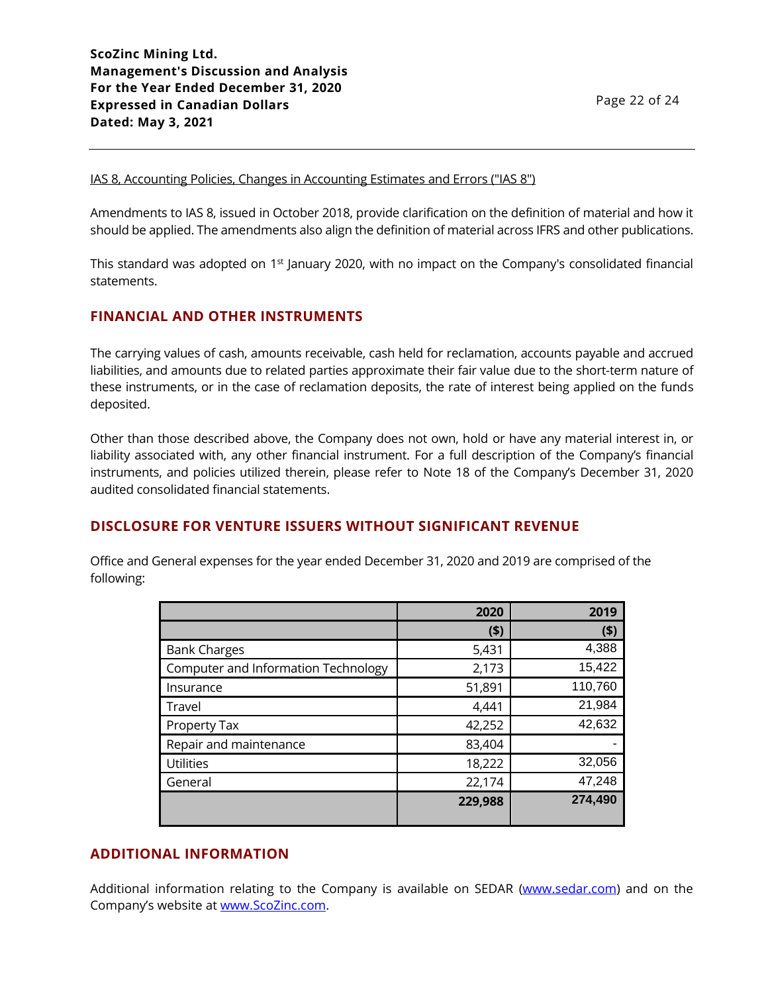#### IAS 8, Accounting Policies, Changes in Accounting Estimates and Errors ("IAS 8")

Amendments to IAS 8, issued in October 2018, provide clarification on the definition of material and how it should be applied. The amendments also align the definition of material across IFRS and other publications.

This standard was adopted on 1<sup>st</sup> January 2020, with no impact on the Company's consolidated financial statements.

# **FINANCIAL AND OTHER INSTRUMENTS**

The carrying values of cash, amounts receivable, cash held for reclamation, accounts payable and accrued liabilities, and amounts due to related parties approximate their fair value due to the short-term nature of these instruments, or in the case of reclamation deposits, the rate of interest being applied on the funds deposited.

Other than those described above, the Company does not own, hold or have any material interest in, or liability associated with, any other financial instrument. For a full description of the Company's financial instruments, and policies utilized therein, please refer to Note 18 of the Company's December 31, 2020 audited consolidated financial statements.

# **DISCLOSURE FOR VENTURE ISSUERS WITHOUT SIGNIFICANT REVENUE**

Office and General expenses for the year ended December 31, 2020 and 2019 are comprised of the following:

|                                     | 2020    | 2019    |
|-------------------------------------|---------|---------|
|                                     | (5)     | (\$)    |
| <b>Bank Charges</b>                 | 5,431   | 4,388   |
| Computer and Information Technology | 2,173   | 15,422  |
| Insurance                           | 51,891  | 110,760 |
| Travel                              | 4,441   | 21,984  |
| Property Tax                        | 42,252  | 42,632  |
| Repair and maintenance              | 83,404  |         |
| <b>Utilities</b>                    | 18,222  | 32,056  |
| General                             | 22,174  | 47,248  |
|                                     | 229,988 | 274,490 |

# **ADDITIONAL INFORMATION**

Additional information relating to the Company is available on SEDAR [\(www.sedar.com\)](http://www.sedar.com/) and on the Company's website at [www.ScoZinc.com.](http://www.scozinc.com/)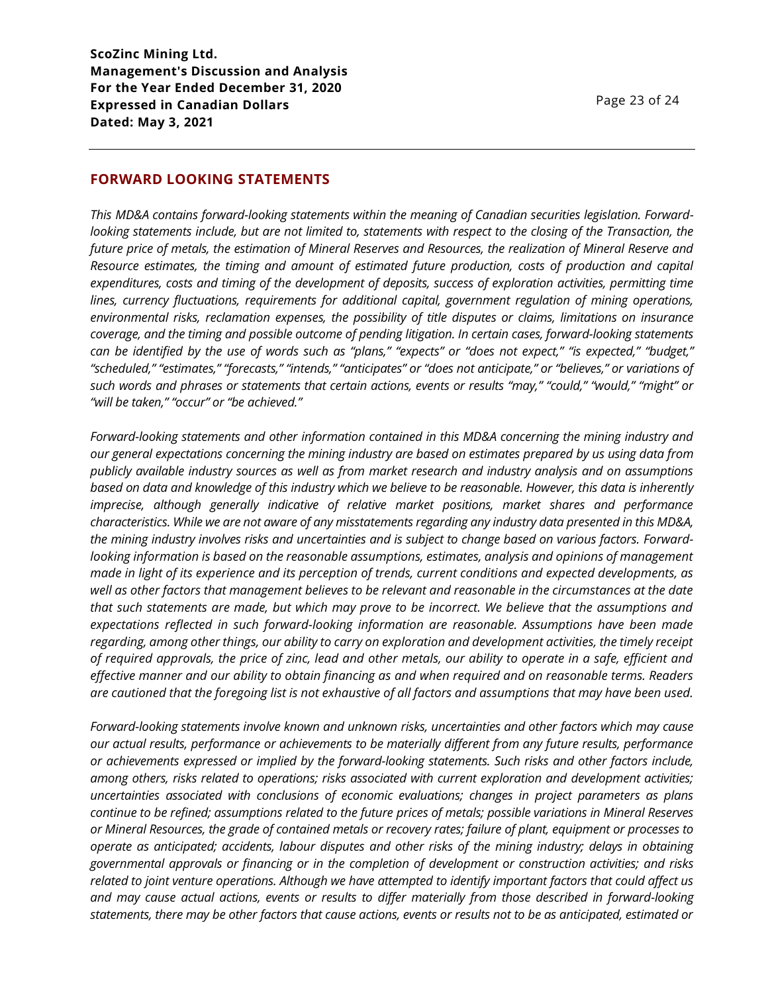### **FORWARD LOOKING STATEMENTS**

*This MD&A contains forward-looking statements within the meaning of Canadian securities legislation. Forwardlooking statements include, but are not limited to, statements with respect to the closing of the Transaction, the future price of metals, the estimation of Mineral Reserves and Resources, the realization of Mineral Reserve and Resource estimates, the timing and amount of estimated future production, costs of production and capital expenditures, costs and timing of the development of deposits, success of exploration activities, permitting time lines, currency fluctuations, requirements for additional capital, government regulation of mining operations, environmental risks, reclamation expenses, the possibility of title disputes or claims, limitations on insurance coverage, and the timing and possible outcome of pending litigation. In certain cases, forward-looking statements can be identified by the use of words such as "plans," "expects" or "does not expect," "is expected," "budget," "scheduled," "estimates," "forecasts," "intends," "anticipates" or "does not anticipate," or "believes," or variations of such words and phrases or statements that certain actions, events or results "may," "could," "would," "might" or "will be taken," "occur" or "be achieved."*

*Forward-looking statements and other information contained in this MD&A concerning the mining industry and our general expectations concerning the mining industry are based on estimates prepared by us using data from publicly available industry sources as well as from market research and industry analysis and on assumptions based on data and knowledge of this industry which we believe to be reasonable. However, this data is inherently imprecise, although generally indicative of relative market positions, market shares and performance characteristics. While we are not aware of any misstatements regarding any industry data presented in this MD&A, the mining industry involves risks and uncertainties and is subject to change based on various factors. Forwardlooking information is based on the reasonable assumptions, estimates, analysis and opinions of management made in light of its experience and its perception of trends, current conditions and expected developments, as well as other factors that management believes to be relevant and reasonable in the circumstances at the date that such statements are made, but which may prove to be incorrect. We believe that the assumptions and expectations reflected in such forward-looking information are reasonable. Assumptions have been made regarding, among other things, our ability to carry on exploration and development activities, the timely receipt of required approvals, the price of zinc, lead and other metals, our ability to operate in a safe, efficient and effective manner and our ability to obtain financing as and when required and on reasonable terms. Readers are cautioned that the foregoing list is not exhaustive of all factors and assumptions that may have been used.*

*Forward-looking statements involve known and unknown risks, uncertainties and other factors which may cause our actual results, performance or achievements to be materially different from any future results, performance or achievements expressed or implied by the forward-looking statements. Such risks and other factors include, among others, risks related to operations; risks associated with current exploration and development activities; uncertainties associated with conclusions of economic evaluations; changes in project parameters as plans continue to be refined; assumptions related to the future prices of metals; possible variations in Mineral Reserves or Mineral Resources, the grade of contained metals or recovery rates; failure of plant, equipment or processes to operate as anticipated; accidents, labour disputes and other risks of the mining industry; delays in obtaining governmental approvals or financing or in the completion of development or construction activities; and risks related to joint venture operations. Although we have attempted to identify important factors that could affect us and may cause actual actions, events or results to differ materially from those described in forward-looking statements, there may be other factors that cause actions, events or results not to be as anticipated, estimated or*